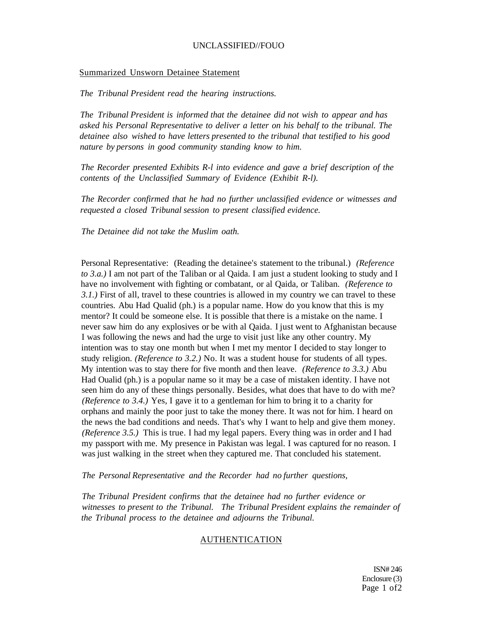#### Summarized Unsworn Detainee Statement

*The Tribunal President read the hearing instructions.* 

*The Tribunal President is informed that the detainee did not wish to appear and has asked his Personal Representative to deliver a letter on his behalf to the tribunal. The detainee also wished to have letters presented to the tribunal that testified to his good nature by persons in good community standing know to him.* 

*The Recorder presented Exhibits R-l into evidence and gave a brief description of the contents of the Unclassified Summary of Evidence (Exhibit R-l).* 

*The Recorder confirmed that he had no further unclassified evidence or witnesses and requested a closed Tribunal session to present classified evidence.* 

*The Detainee did not take the Muslim oath.* 

Personal Representative: (Reading the detainee's statement to the tribunal.) *(Reference to 3.a.)* I am not part of the Taliban or al Qaida. I am just a student looking to study and I have no involvement with fighting or combatant, or al Qaida, or Taliban. *(Reference to 3.1.)* First of all, travel to these countries is allowed in my country we can travel to these countries. Abu Had Qualid (ph.) is a popular name. How do you know that this is my mentor? It could be someone else. It is possible that there is a mistake on the name. I never saw him do any explosives or be with al Qaida. I just went to Afghanistan because I was following the news and had the urge to visit just like any other country. My intention was to stay one month but when I met my mentor I decided to stay longer to study religion. *(Reference to 3.2.)* No. It was a student house for students of all types. My intention was to stay there for five month and then leave. *(Reference to 3.3.)* Abu Had Oualid (ph.) is a popular name so it may be a case of mistaken identity. I have not seen him do any of these things personally. Besides, what does that have to do with me? *(Reference to 3.4.)* Yes, I gave it to a gentleman for him to bring it to a charity for orphans and mainly the poor just to take the money there. It was not for him. I heard on the news the bad conditions and needs. That's why I want to help and give them money. *(Reference 3.5.)* This is true. I had my legal papers. Every thing was in order and I had my passport with me. My presence in Pakistan was legal. I was captured for no reason. I was just walking in the street when they captured me. That concluded his statement.

*The Personal Representative and the Recorder had no further questions,* 

*The Tribunal President confirms that the detainee had no further evidence or witnesses to present to the Tribunal. The Tribunal President explains the remainder of the Tribunal process to the detainee and adjourns the Tribunal.* 

#### AUTHENTICATION

ISN# 246 Enclosure (3) Page 1 of2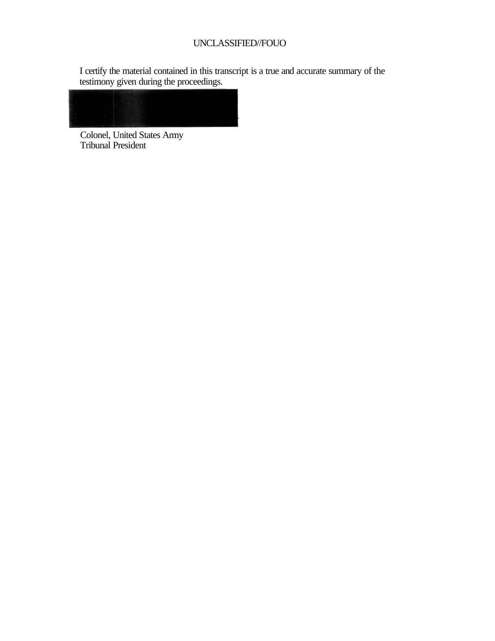I certify the material contained in this transcript is a true and accurate summary of the testimony given during the proceedings.



Colonel, United States Army Tribunal President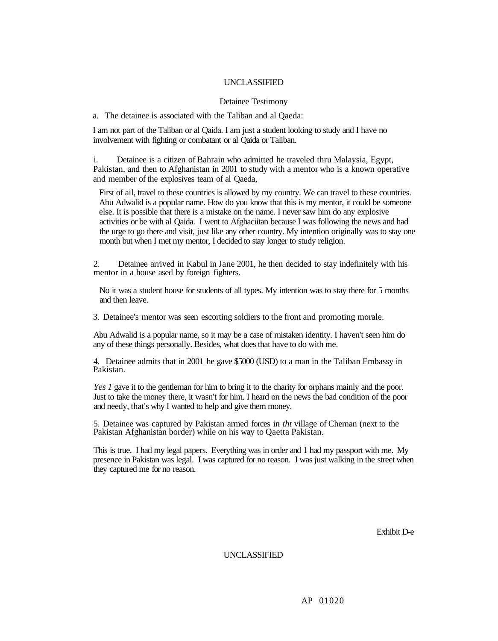#### UNCLASSIFIED

#### Detainee Testimony

a. The detainee is associated with the Taliban and al Qaeda:

I am not part of the Taliban or al Qaida. I am just a student looking to study and I have no involvement with fighting or combatant or al Qaida or Taliban.

i. Detainee is a citizen of Bahrain who admitted he traveled thru Malaysia, Egypt, Pakistan, and then to Afghanistan in 2001 to study with a mentor who is a known operative and member of the explosives team of al Qaeda,

First of ail, travel to these countries is allowed by my country. We can travel to these countries. Abu Adwalid is a popular name. How do you know that this is my mentor, it could be someone else. It is possible that there is a mistake on the name. I never saw him do any explosive activities or be with al Qaida. I went to Afghaciitan because I was following the news and had the urge to go there and visit, just like any other country. My intention originally was to stay one month but when I met my mentor, I decided to stay longer to study religion.

2. Detainee arrived in Kabul in Jane 2001, he then decided to stay indefinitely with his mentor in a house ased by foreign fighters.

No it was a student house for students of all types. My intention was to stay there for 5 months and then leave.

3. Detainee's mentor was seen escorting soldiers to the front and promoting morale.

Abu Adwalid is a popular name, so it may be a case of mistaken identity. I haven't seen him do any of these things personally. Besides, what does that have to do with me.

4. Detainee admits that in 2001 he gave \$5000 (USD) to a man in the Taliban Embassy in Pakistan.

*Yes 1* gave it to the gentleman for him to bring it to the charity for orphans mainly and the poor. Just to take the money there, it wasn't for him. I heard on the news the bad condition of the poor and needy, that's why I wanted to help and give them money.

5. Detainee was captured by Pakistan armed forces in *tht* village of Cheman (next to the Pakistan Afghanistan border) while on his way to Qaetta Pakistan.

This is true. I had my legal papers. Everything was in order and 1 had my passport with me. My presence in Pakistan was legal. I was captured for no reason. I was just walking in the street when they captured me for no reason.

Exhibit D-e

UNCLASSIFIED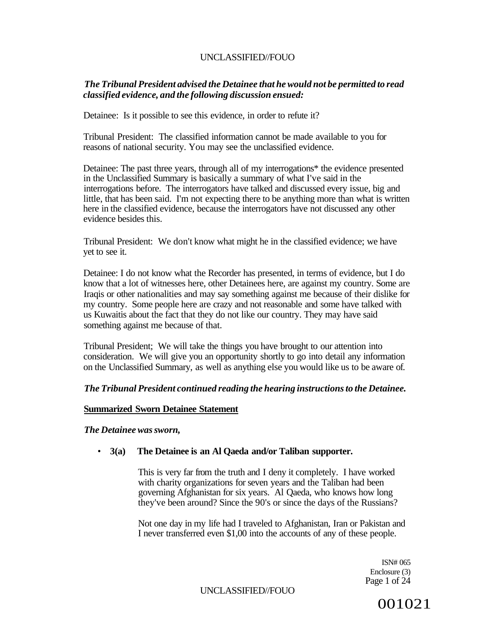## *The Tribunal President advised the Detainee that he would not be permitted to read classified evidence, and the following discussion ensued:*

Detainee: Is it possible to see this evidence, in order to refute it?

Tribunal President: The classified information cannot be made available to you for reasons of national security. You may see the unclassified evidence.

Detainee: The past three years, through all of my interrogations\* the evidence presented in the Unclassified Summary is basically a summary of what I've said in the interrogations before. The interrogators have talked and discussed every issue, big and little, that has been said. I'm not expecting there to be anything more than what is written here in the classified evidence, because the interrogators have not discussed any other evidence besides this.

Tribunal President: We don't know what might he in the classified evidence; we have yet to see it.

Detainee: I do not know what the Recorder has presented, in terms of evidence, but I do know that a lot of witnesses here, other Detainees here, are against my country. Some are Iraqis or other nationalities and may say something against me because of their dislike for my country. Some people here are crazy and not reasonable and some have talked with us Kuwaitis about the fact that they do not like our country. They may have said something against me because of that.

Tribunal President; We will take the things you have brought to our attention into consideration. We will give you an opportunity shortly to go into detail any information on the Unclassified Summary, as well as anything else you would like us to be aware of.

### *The Tribunal President continued reading the hearing instructions to the Detainee.*

#### **Summarized Sworn Detainee Statement**

*The Detainee was sworn,* 

#### • **3(a) The Detainee is an Al Qaeda and/or Taliban supporter.**

This is very far from the truth and I deny it completely. I have worked with charity organizations for seven years and the Taliban had been governing Afghanistan for six years. Al Qaeda, who knows how long they've been around? Since the 90's or since the days of the Russians?

Not one day in my life had I traveled to Afghanistan, Iran or Pakistan and I never transferred even \$1,00 into the accounts of any of these people.

> ISN# 065 Enclosure (3) Page 1 of 24

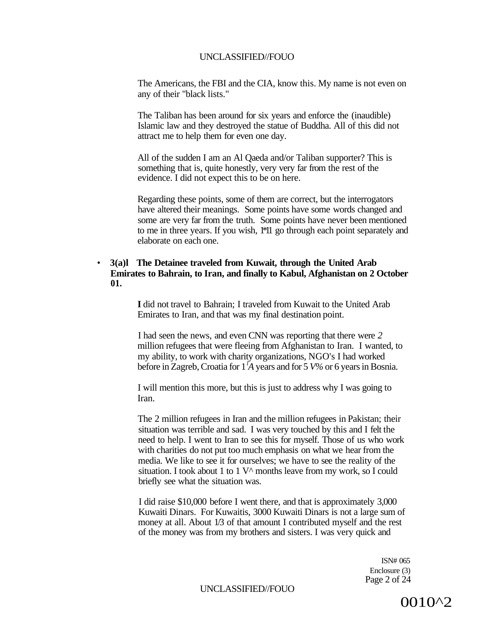The Americans, the FBI and the CIA, know this. My name is not even on any of their "black lists."

The Taliban has been around for six years and enforce the (inaudible) Islamic law and they destroyed the statue of Buddha. All of this did not attract me to help them for even one day.

All of the sudden I am an Al Qaeda and/or Taliban supporter? This is something that is, quite honestly, very very far from the rest of the evidence. I did not expect this to be on here.

Regarding these points, some of them are correct, but the interrogators have altered their meanings. Some points have some words changed and some are very far from the truth. Some points have never been mentioned to me in three years. If you wish, 1\*11 go through each point separately and elaborate on each one.

#### • **3(a)l The Detainee traveled from Kuwait, through the United Arab Emirates to Bahrain, to Iran, and finally to Kabul, Afghanistan on 2 October 01.**

**I** did not travel to Bahrain; I traveled from Kuwait to the United Arab Emirates to Iran, and that was my final destination point.

I had seen the news, and even CNN was reporting that there were *2*  million refugees that were fleeing from Afghanistan to Iran. I wanted, to my ability, to work with charity organizations, NGO's I had worked before in Zagreb, Croatia for 1*<sup>l</sup>A* years and for 5 *V%* or 6 years in Bosnia.

I will mention this more, but this is just to address why I was going to Iran.

The 2 million refugees in Iran and the million refugees in Pakistan; their situation was terrible and sad. I was very touched by this and I felt the need to help. I went to Iran to see this for myself. Those of us who work with charities do not put too much emphasis on what we hear from the media. We like to see it for ourselves; we have to see the reality of the situation. I took about 1 to 1 V<sup>^</sup> months leave from my work, so I could briefly see what the situation was.

I did raise \$10,000 before I went there, and that is approximately 3,000 Kuwaiti Dinars. For Kuwaitis, 3000 Kuwaiti Dinars is not a large sum of money at all. About 1/3 of that amount I contributed myself and the rest of the money was from my brothers and sisters. I was very quick and

> ISN# 065 Enclosure (3) Page 2 of 24

UNCLASSIFIED//FOUO

0010^2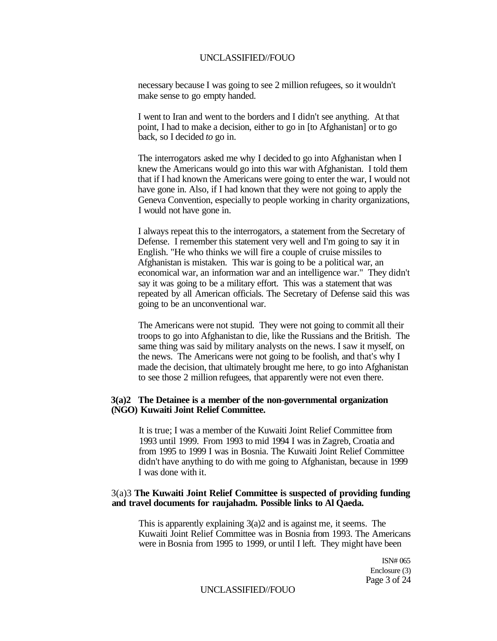necessary because I was going to see 2 million refugees, so it wouldn't make sense to go empty handed.

I went to Iran and went to the borders and I didn't see anything. At that point, I had to make a decision, either to go in [to Afghanistan] or to go back, so I decided *to* go in.

The interrogators asked me why I decided to go into Afghanistan when I knew the Americans would go into this war with Afghanistan. I told them that if I had known the Americans were going to enter the war, I would not have gone in. Also, if I had known that they were not going to apply the Geneva Convention, especially to people working in charity organizations, I would not have gone in.

I always repeat this to the interrogators, a statement from the Secretary of Defense. I remember this statement very well and I'm going to say it in English. "He who thinks we will fire a couple of cruise missiles to Afghanistan is mistaken. This war is going to be a political war, an economical war, an information war and an intelligence war." They didn't say it was going to be a military effort. This was a statement that was repeated by all American officials. The Secretary of Defense said this was going to be an unconventional war.

The Americans were not stupid. They were not going to commit all their troops to go into Afghanistan to die, like the Russians and the British. The same thing was said by military analysts on the news. I saw it myself, on the news. The Americans were not going to be foolish, and that's why I made the decision, that ultimately brought me here, to go into Afghanistan to see those 2 million refugees, that apparently were not even there.

#### **3(a)2 The Detainee is a member of the non-governmental organization (NGO) Kuwaiti Joint Relief Committee.**

It is true; I was a member of the Kuwaiti Joint Relief Committee from 1993 until 1999. From 1993 to mid 1994 I was in Zagreb, Croatia and from 1995 to 1999 I was in Bosnia. The Kuwaiti Joint Relief Committee didn't have anything to do with me going to Afghanistan, because in 1999 I was done with it.

#### 3(a)3 **The Kuwaiti Joint Relief Committee is suspected of providing funding and travel documents for raujahadm. Possible links to Al Qaeda.**

This is apparently explaining 3(a)2 and is against me, it seems. The Kuwaiti Joint Relief Committee was in Bosnia from 1993. The Americans were in Bosnia from 1995 to 1999, or until I left. They might have been

> ISN# 065 Enclosure (3) Page 3 of 24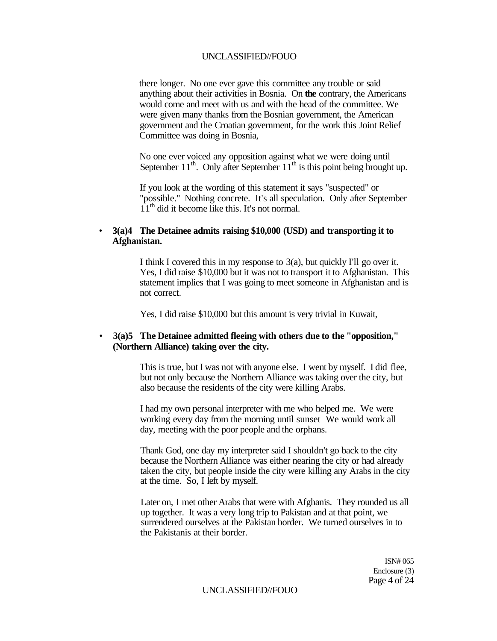there longer. No one ever gave this committee any trouble or said anything about their activities in Bosnia. On **the** contrary, the Americans would come and meet with us and with the head of the committee. We were given many thanks from the Bosnian government, the American government and the Croatian government, for the work this Joint Relief Committee was doing in Bosnia,

No one ever voiced any opposition against what we were doing until September  $11<sup>th</sup>$ . Only after September  $11<sup>th</sup>$  is this point being brought up.

If you look at the wording of this statement it says "suspected" or "possible." Nothing concrete. It's all speculation. Only after September  $11<sup>th</sup>$  did it become like this. It's not normal.

#### • **3(a)4 The Detainee admits raising \$10,000 (USD) and transporting it to Afghanistan.**

I think I covered this in my response to 3(a), but quickly I'll go over it. Yes, I did raise \$10,000 but it was not to transport it to Afghanistan. This statement implies that I was going to meet someone in Afghanistan and is not correct.

Yes, I did raise \$10,000 but this amount is very trivial in Kuwait,

#### • **3(a)5 The Detainee admitted fleeing with others due to the "opposition," (Northern Alliance) taking over the city.**

This is true, but I was not with anyone else. I went by myself. I did flee, but not only because the Northern Alliance was taking over the city, but also because the residents of the city were killing Arabs.

I had my own personal interpreter with me who helped me. We were working every day from the morning until sunset We would work all day, meeting with the poor people and the orphans.

Thank God, one day my interpreter said I shouldn't go back to the city because the Northern Alliance was either nearing the city or had already taken the city, but people inside the city were killing any Arabs in the city at the time. So, I left by myself.

Later on, I met other Arabs that were with Afghanis. They rounded us all up together. It was a very long trip to Pakistan and at that point, we surrendered ourselves at the Pakistan border. We turned ourselves in to the Pakistanis at their border.

> ISN# 065 Enclosure (3) Page 4 of 24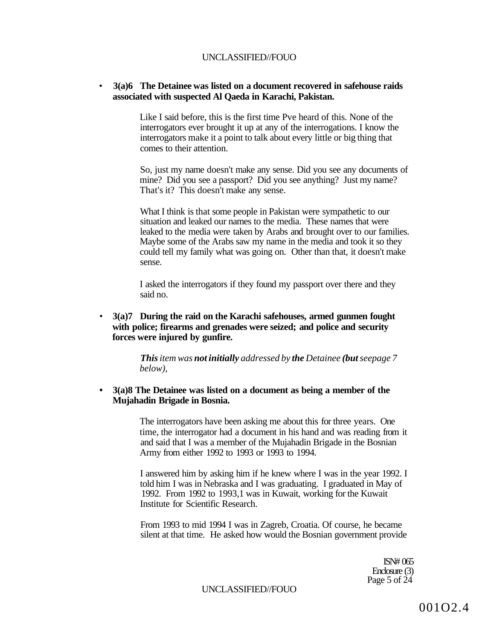#### • **3(a)6 The Detainee was listed on a document recovered in safehouse raids associated with suspected Al Qaeda in Karachi, Pakistan.**

Like I said before, this is the first time Pve heard of this. None of the interrogators ever brought it up at any of the interrogations. I know the interrogators make it a point to talk about every little or big thing that comes to their attention.

So, just my name doesn't make any sense. Did you see any documents of mine? Did you see a passport? Did you see anything? Just my name? That's it? This doesn't make any sense.

What I think is that some people in Pakistan were sympathetic to our situation and leaked our names to the media. These names that were leaked to the media were taken by Arabs and brought over to our families. Maybe some of the Arabs saw my name in the media and took it so they could tell my family what was going on. Other than that, it doesn't make sense.

I asked the interrogators if they found my passport over there and they said no.

• **3(a)7 During the raid on the Karachi safehouses, armed gunmen fought with police; firearms and grenades were seized; and police and security forces were injured by gunfire.** 

> *This item was not initially addressed by the Detainee (but seepage 7 below),*

#### **• 3(a)8 The Detainee was listed on a document as being a member of the Mujahadin Brigade in Bosnia.**

The interrogators have been asking me about this for three years. One time, the interrogator had a document in his hand and was reading from it and said that I was a member of the Mujahadin Brigade in the Bosnian Army from either 1992 to 1993 or 1993 to 1994.

I answered him by asking him if he knew where I was in the year 1992. I told him I was in Nebraska and I was graduating. I graduated in May of 1992. From 1992 to 1993,1 was in Kuwait, working for the Kuwait Institute for Scientific Research.

From 1993 to mid 1994 I was in Zagreb, Croatia. Of course, he became silent at that time. He asked how would the Bosnian government provide

> ISN# 065 Enclosure (3) Page 5 of  $24$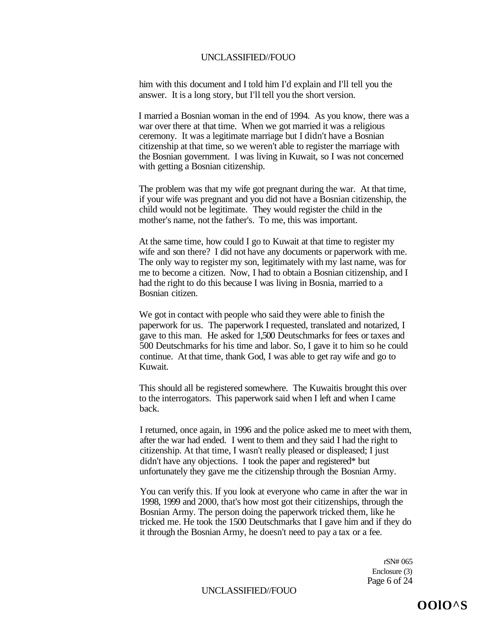him with this document and I told him I'd explain and I'll tell you the answer. It is a long story, but I'll tell you the short version.

I married a Bosnian woman in the end of 1994. As you know, there was a war over there at that time. When we got married it was a religious ceremony. It was a legitimate marriage but I didn't have a Bosnian citizenship at that time, so we weren't able to register the marriage with the Bosnian government. I was living in Kuwait, so I was not concerned with getting a Bosnian citizenship.

The problem was that my wife got pregnant during the war. At that time, if your wife was pregnant and you did not have a Bosnian citizenship, the child would not be legitimate. They would register the child in the mother's name, not the father's. To me, this was important.

At the same time, how could I go to Kuwait at that time to register my wife and son there? I did not have any documents or paperwork with me. The only way to register my son, legitimately with my last name, was for me to become a citizen. Now, I had to obtain a Bosnian citizenship, and I had the right to do this because I was living in Bosnia, married to a Bosnian citizen.

We got in contact with people who said they were able to finish the paperwork for us. The paperwork I requested, translated and notarized, I gave to this man. He asked for 1,500 Deutschmarks for fees or taxes and 500 Deutschmarks for his time and labor. So, I gave it to him so he could continue. At that time, thank God, I was able to get ray wife and go to Kuwait.

This should all be registered somewhere. The Kuwaitis brought this over to the interrogators. This paperwork said when I left and when I came back.

I returned, once again, in 1996 and the police asked me to meet with them, after the war had ended. I went to them and they said I had the right to citizenship. At that time, I wasn't really pleased or displeased; I just didn't have any objections. I took the paper and registered\* but unfortunately they gave me the citizenship through the Bosnian Army.

You can verify this. If you look at everyone who came in after the war in 1998, 1999 and 2000, that's how most got their citizenships, through the Bosnian Army. The person doing the paperwork tricked them, like he tricked me. He took the 1500 Deutschmarks that I gave him and if they do it through the Bosnian Army, he doesn't need to pay a tax or a fee.

> rSN# 065 Enclosure (3) Page 6 of 24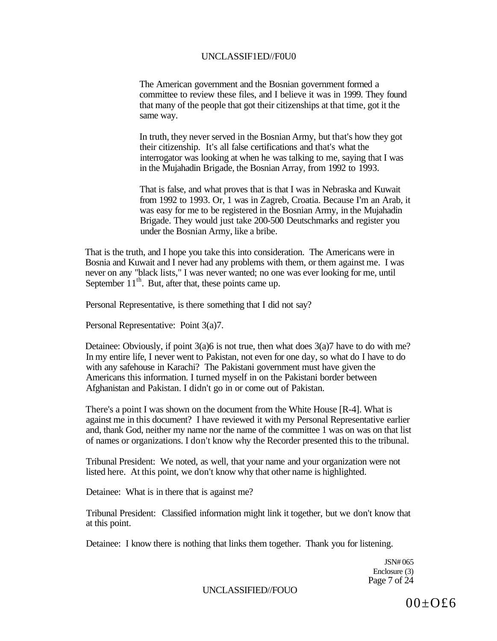### UNCLASSIF1ED//F0U0

The American government and the Bosnian government formed a committee to review these files, and I believe it was in 1999. They found that many of the people that got their citizenships at that time, got it the same way.

In truth, they never served in the Bosnian Army, but that's how they got their citizenship. It's all false certifications and that's what the interrogator was looking at when he was talking to me, saying that I was in the Mujahadin Brigade, the Bosnian Array, from 1992 to 1993.

That is false, and what proves that is that I was in Nebraska and Kuwait from 1992 to 1993. Or, 1 was in Zagreb, Croatia. Because I'm an Arab, it was easy for me to be registered in the Bosnian Army, in the Mujahadin Brigade. They would just take 200-500 Deutschmarks and register you under the Bosnian Army, like a bribe.

That is the truth, and I hope you take this into consideration. The Americans were in Bosnia and Kuwait and I never had any problems with them, or them against me. I was never on any "black lists," I was never wanted; no one was ever looking for me, until September  $11<sup>th</sup>$ . But, after that, these points came up.

Personal Representative, is there something that I did not say?

Personal Representative: Point 3(a)7.

Detainee: Obviously, if point 3(a)6 is not true, then what does 3(a)7 have to do with me? In my entire life, I never went to Pakistan, not even for one day, so what do I have to do with any safehouse in Karachi? The Pakistani government must have given the Americans this information. I turned myself in on the Pakistani border between Afghanistan and Pakistan. I didn't go in or come out of Pakistan.

There's a point I was shown on the document from the White House [R-4]. What is against me in this document? I have reviewed it with my Personal Representative earlier and, thank God, neither my name nor the name of the committee 1 was on was on that list of names or organizations. I don't know why the Recorder presented this to the tribunal.

Tribunal President: We noted, as well, that your name and your organization were not listed here. At this point, we don't know why that other name is highlighted.

Detainee: What is in there that is against me?

Tribunal President: Classified information might link it together, but we don't know that at this point.

Detainee: I know there is nothing that links them together. Thank you for listening.

JSN# 065 Enclosure (3) Page 7 of 24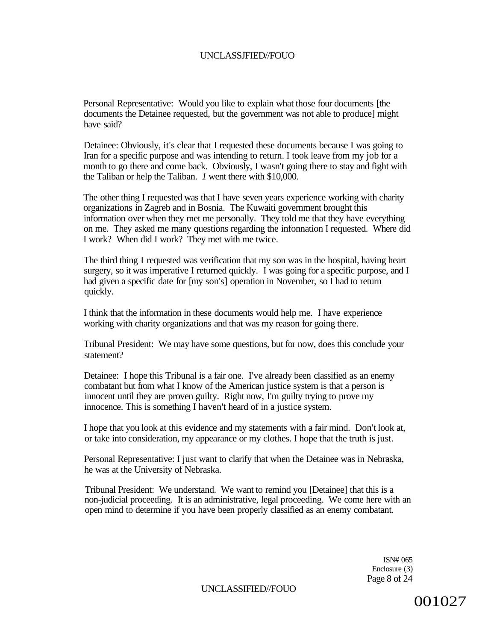Personal Representative: Would you like to explain what those four documents [the documents the Detainee requested, but the government was not able to produce] might have said?

Detainee: Obviously, it's clear that I requested these documents because I was going to Iran for a specific purpose and was intending to return. I took leave from my job for a month to go there and come back. Obviously, I wasn't going there to stay and fight with the Taliban or help the Taliban. *1* went there with \$10,000.

The other thing I requested was that I have seven years experience working with charity organizations in Zagreb and in Bosnia. The Kuwaiti government brought this information over when they met me personally. They told me that they have everything on me. They asked me many questions regarding the infonnation I requested. Where did I work? When did I work? They met with me twice.

The third thing I requested was verification that my son was in the hospital, having heart surgery, so it was imperative I returned quickly. I was going for a specific purpose, and I had given a specific date for [my son's] operation in November, so I had to return quickly.

I think that the information in these documents would help me. I have experience working with charity organizations and that was my reason for going there.

Tribunal President: We may have some questions, but for now, does this conclude your statement?

Detainee: I hope this Tribunal is a fair one. I've already been classified as an enemy combatant but from what I know of the American justice system is that a person is innocent until they are proven guilty. Right now, I'm guilty trying to prove my innocence. This is something I haven't heard of in a justice system.

I hope that you look at this evidence and my statements with a fair mind. Don't look at, or take into consideration, my appearance or my clothes. I hope that the truth is just.

Personal Representative: I just want to clarify that when the Detainee was in Nebraska, he was at the University of Nebraska.

Tribunal President: We understand. We want to remind you [Detainee] that this is a non-judicial proceeding. It is an administrative, legal proceeding. We come here with an open mind to determine if you have been properly classified as an enemy combatant.

> ISN# 065 Enclosure (3) Page 8 of 24

UNCLASSIFIED//FOUO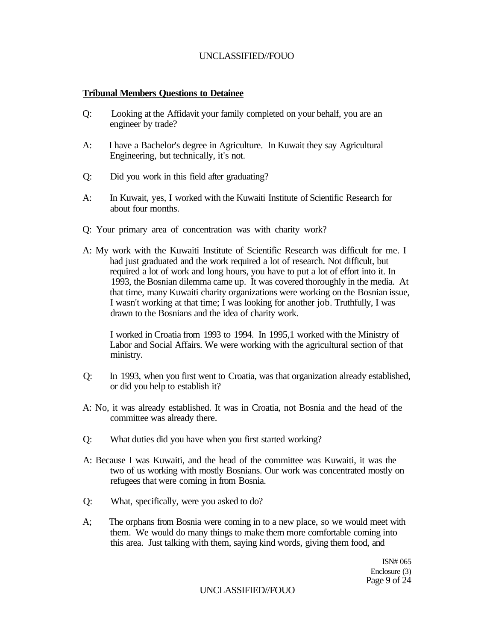#### **Tribunal Members Questions to Detainee**

- Q: Looking at the Affidavit your family completed on your behalf, you are an engineer by trade?
- A: I have a Bachelor's degree in Agriculture. In Kuwait they say Agricultural Engineering, but technically, it's not.
- Q: Did you work in this field after graduating?
- A: In Kuwait, yes, I worked with the Kuwaiti Institute of Scientific Research for about four months.
- Q: Your primary area of concentration was with charity work?
- A: My work with the Kuwaiti Institute of Scientific Research was difficult for me. I had just graduated and the work required a lot of research. Not difficult, but required a lot of work and long hours, you have to put a lot of effort into it. In 1993, the Bosnian dilemma came up. It was covered thoroughly in the media. At that time, many Kuwaiti charity organizations were working on the Bosnian issue, I wasn't working at that time; I was looking for another job. Truthfully, I was drawn to the Bosnians and the idea of charity work.

I worked in Croatia from 1993 to 1994. In 1995,1 worked with the Ministry of Labor and Social Affairs. We were working with the agricultural section of that ministry.

- Q: In 1993, when you first went to Croatia, was that organization already established, or did you help to establish it?
- A: No, it was already established. It was in Croatia, not Bosnia and the head of the committee was already there.
- Q: What duties did you have when you first started working?
- A: Because I was Kuwaiti, and the head of the committee was Kuwaiti, it was the two of us working with mostly Bosnians. Our work was concentrated mostly on refugees that were coming in from Bosnia.
- Q: What, specifically, were you asked to do?
- A; The orphans from Bosnia were coming in to a new place, so we would meet with them. We would do many things to make them more comfortable coming into this area. Just talking with them, saying kind words, giving them food, and

ISN# 065 Enclosure (3) Page 9 of 24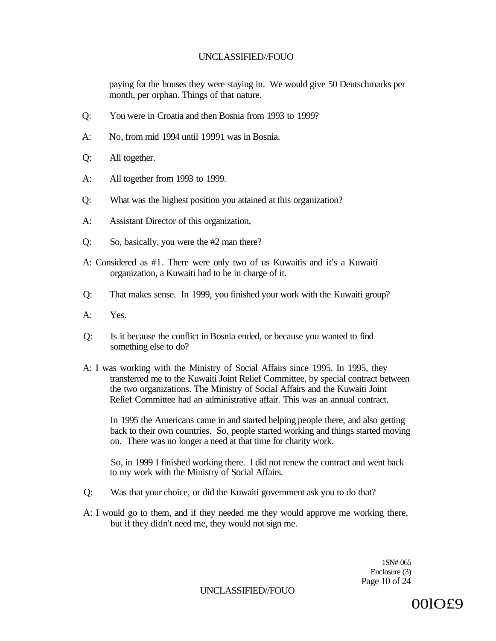paying for the houses they were staying in. We would give 50 Deutschmarks per month, per orphan. Things of that nature.

- Q: You were in Croatia and then Bosnia from 1993 to 1999?
- A: No, from mid 1994 until 19991 was in Bosnia.
- Q: All together.
- A: All together from 1993 to 1999.
- Q: What was the highest position you attained at this organization?
- A: Assistant Director of this organization,
- Q: So, basically, you were the #2 man there?
- A: Considered as #1. There were only two of us Kuwaitis and it's a Kuwaiti organization, a Kuwaiti had to be in charge of it.
- Q: That makes sense. In 1999, you finished your work with the Kuwaiti group?
- A: Yes.
- Q: Is it because the conflict in Bosnia ended, or because you wanted to find something else to do?
- A: I was working with the Ministry of Social Affairs since 1995. In 1995, they transferred me to the Kuwaiti Joint Relief Committee, by special contract between the two organizations. The Ministry of Social Affairs and the Kuwaiti Joint Relief Committee had an administrative affair. This was an annual contract.

In 1995 the Americans came in and started helping people there, and also getting back to their own countries. So, people started working and things started moving on. There was no longer a need at that time for charity work.

So, in 1999 I finished working there. I did not renew the contract and went back to my work with the Ministry of Social Affairs.

- Q: Was that your choice, or did the Kuwaiti government ask you to do that?
- A: I would go to them, and if they needed me they would approve me working there, but if they didn't need me, they would not sign me.

1SN# 065 Enclosure (3) Page 10 of 24

UNCLASSIFIED//FOUO

00lO£9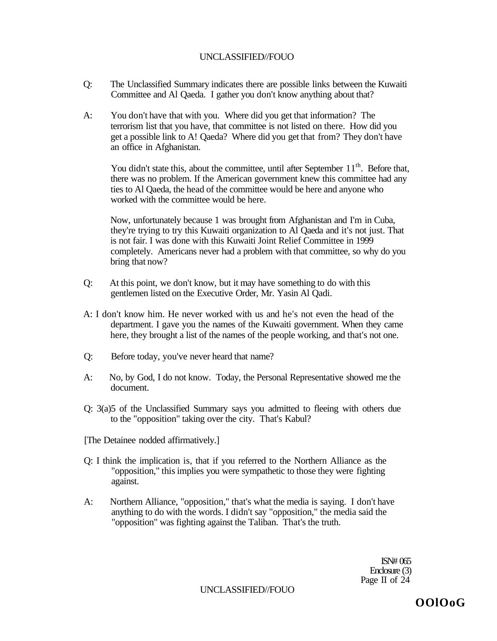- Q: The Unclassified Summary indicates there are possible links between the Kuwaiti Committee and Al Qaeda. I gather you don't know anything about that?
- A: You don't have that with you. Where did you get that information? The terrorism list that you have, that committee is not listed on there. How did you get a possible link to A! Qaeda? Where did you get that from? They don't have an office in Afghanistan.

You didn't state this, about the committee, until after September  $11<sup>th</sup>$ . Before that, there was no problem. If the American government knew this committee had any ties to Al Qaeda, the head of the committee would be here and anyone who worked with the committee would be here.

Now, unfortunately because 1 was brought from Afghanistan and I'm in Cuba, they're trying to try this Kuwaiti organization to Al Qaeda and it's not just. That is not fair. I was done with this Kuwaiti Joint Relief Committee in 1999 completely. Americans never had a problem with that committee, so why do you bring that now?

- Q: At this point, we don't know, but it may have something to do with this gentlemen listed on the Executive Order, Mr. Yasin Al Qadi.
- A: I don't know him. He never worked with us and he's not even the head of the department. I gave you the names of the Kuwaiti government. When they came here, they brought a list of the names of the people working, and that's not one.
- Q: Before today, you've never heard that name?
- A: No, by God, I do not know. Today, the Personal Representative showed me the document.
- Q: 3(a)5 of the Unclassified Summary says you admitted to fleeing with others due to the "opposition" taking over the city. That's Kabul?

[The Detainee nodded affirmatively.]

- Q: I think the implication is, that if you referred to the Northern Alliance as the "opposition," this implies you were sympathetic to those they were fighting against.
- A: Northern Alliance, "opposition," that's what the media is saying. I don't have anything to do with the words. I didn't say "opposition," the media said the "opposition" was fighting against the Taliban. That's the truth.

ISN# 065 Enclosure (3) Page II of 24

UNCLASSIFIED//FOUO

**OOlOoG**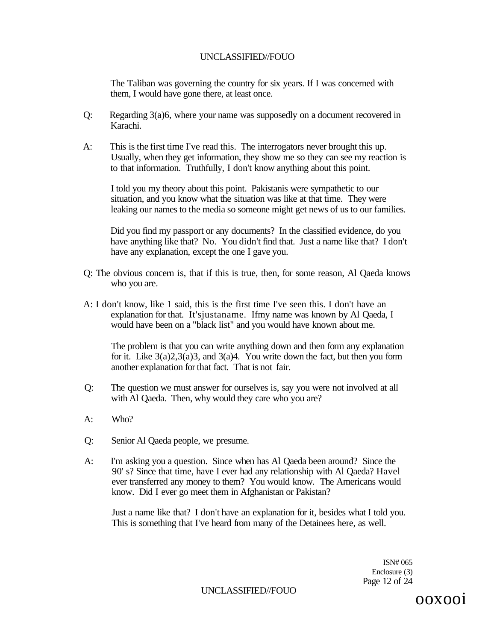The Taliban was governing the country for six years. If I was concerned with them, I would have gone there, at least once.

- Q: Regarding 3(a)6, where your name was supposedly on a document recovered in Karachi.
- A: This is the first time I've read this. The interrogators never brought this up. Usually, when they get information, they show me so they can see my reaction is to that information. Truthfully, I don't know anything about this point.

I told you my theory about this point. Pakistanis were sympathetic to our situation, and you know what the situation was like at that time. They were leaking our names to the media so someone might get news of us to our families.

Did you find my passport or any documents? In the classified evidence, do you have anything like that? No. You didn't find that. Just a name like that? I don't have any explanation, except the one I gave you.

- Q: The obvious concern is, that if this is true, then, for some reason, Al Qaeda knows who you are.
- A: I don't know, like 1 said, this is the first time I've seen this. I don't have an explanation for that. It'sjustaname. Ifmy name was known by Al Qaeda, I would have been on a "black list" and you would have known about me.

The problem is that you can write anything down and then form any explanation for it. Like  $3(a)2,3(a)3$ , and  $3(a)4$ . You write down the fact, but then you form another explanation for that fact. That is not fair.

- Q: The question we must answer for ourselves is, say you were not involved at all with Al Qaeda. Then, why would they care who you are?
- A: Who?
- Q: Senior Al Qaeda people, we presume.
- A: I'm asking you a question. Since when has Al Qaeda been around? Since the 90' s? Since that time, have I ever had any relationship with Al Qaeda? Havel ever transferred any money to them? You would know. The Americans would know. Did I ever go meet them in Afghanistan or Pakistan?

Just a name like that? I don't have an explanation for it, besides what I told you. This is something that I've heard from many of the Detainees here, as well.

> ISN# 065 Enclosure (3) Page 12 of 24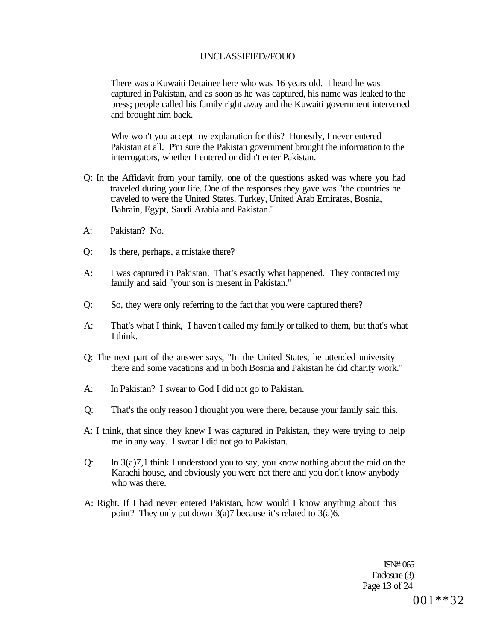There was a Kuwaiti Detainee here who was 16 years old. I heard he was captured in Pakistan, and as soon as he was captured, his name was leaked to the press; people called his family right away and the Kuwaiti government intervened and brought him back.

Why won't you accept my explanation for this? Honestly, I never entered Pakistan at all. I\*m sure the Pakistan government brought the information to the interrogators, whether I entered or didn't enter Pakistan.

- Q: In the Affidavit from your family, one of the questions asked was where you had traveled during your life. One of the responses they gave was "the countries he traveled to were the United States, Turkey, United Arab Emirates, Bosnia, Bahrain, Egypt, Saudi Arabia and Pakistan."
- A: Pakistan? No.
- Q: Is there, perhaps, a mistake there?
- A: I was captured in Pakistan. That's exactly what happened. They contacted my family and said "your son is present in Pakistan."
- Q: So, they were only referring to the fact that you were captured there?
- A: That's what I think, I haven't called my family or talked to them, but that's what I think.
- Q: The next part of the answer says, "In the United States, he attended university there and some vacations and in both Bosnia and Pakistan he did charity work."
- A: In Pakistan? I swear to God I did not go to Pakistan.
- Q: That's the only reason I thought you were there, because your family said this.
- A: I think, that since they knew I was captured in Pakistan, they were trying to help me in any way. I swear I did not go to Pakistan.
- Q: In 3(a)7,1 think I understood you to say, you know nothing about the raid on the Karachi house, and obviously you were not there and you don't know anybody who was there.
- A: Right. If I had never entered Pakistan, how would I know anything about this point? They only put down 3(a)7 because it's related to 3(a)6.

ISN# 065 Enclosure (3) Page 13 of 24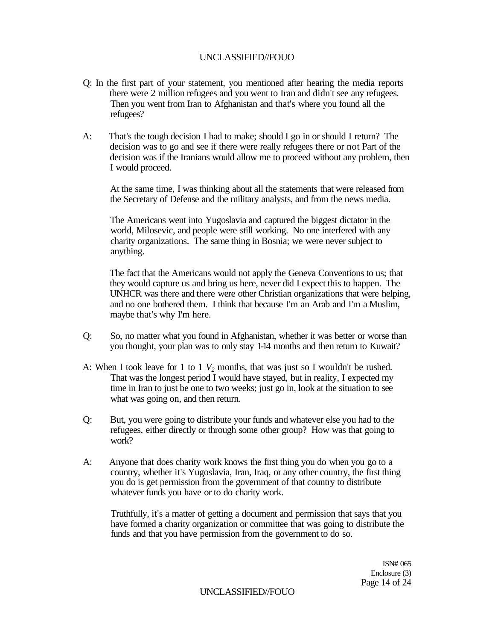- Q: In the first part of your statement, you mentioned after hearing the media reports there were 2 million refugees and you went to Iran and didn't see any refugees. Then you went from Iran to Afghanistan and that's where you found all the refugees?
- A: That's the tough decision I had to make; should I go in or should I return? The decision was to go and see if there were really refugees there or not Part of the decision was if the Iranians would allow me to proceed without any problem, then I would proceed.

At the same time, I was thinking about all the statements that were released from the Secretary of Defense and the military analysts, and from the news media.

The Americans went into Yugoslavia and captured the biggest dictator in the world, Milosevic, and people were still working. No one interfered with any charity organizations. The same thing in Bosnia; we were never subject to anything.

The fact that the Americans would not apply the Geneva Conventions to us; that they would capture us and bring us here, never did I expect this to happen. The UNHCR was there and there were other Christian organizations that were helping, and no one bothered them. I think that because I'm an Arab and I'm a Muslim, maybe that's why I'm here.

- Q: So, no matter what you found in Afghanistan, whether it was better or worse than you thought, your plan was to only stay 1-14 months and then return to Kuwait?
- A: When I took leave for 1 to 1 *V2* months, that was just so I wouldn't be rushed. That was the longest period I would have stayed, but in reality, I expected my time in Iran to just be one to two weeks; just go in, look at the situation to see what was going on, and then return.
- Q: But, you were going to distribute your funds and whatever else you had to the refugees, either directly or through some other group? How was that going to work?
- A: Anyone that does charity work knows the first thing you do when you go to a country, whether it's Yugoslavia, Iran, Iraq, or any other country, the first thing you do is get permission from the government of that country to distribute whatever funds you have or to do charity work.

Truthfully, it's a matter of getting a document and permission that says that you have formed a charity organization or committee that was going to distribute the funds and that you have permission from the government to do so.

> ISN# 065 Enclosure (3) Page 14 of 24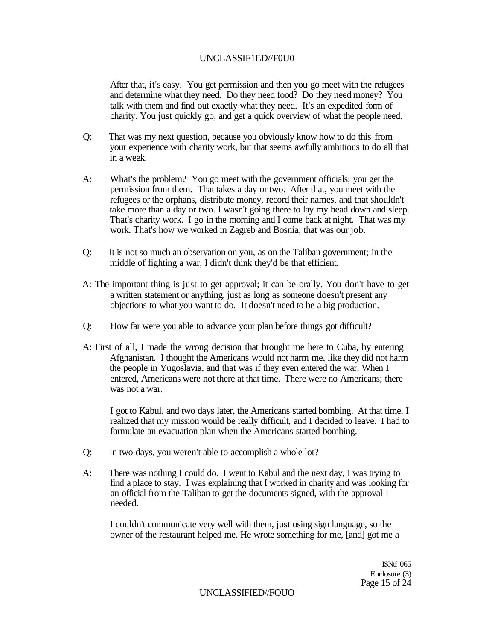### UNCLASSIF1ED//F0U0

After that, it's easy. You get permission and then you go meet with the refugees and determine what they need. Do they need food? Do they need money? You talk with them and find out exactly what they need. It's an expedited form of charity. You just quickly go, and get a quick overview of what the people need.

- Q: That was my next question, because you obviously know how to do this from your experience with charity work, but that seems awfully ambitious to do all that in a week.
- A: What's the problem? You go meet with the government officials; you get the permission from them. That takes a day or two. After that, you meet with the refugees or the orphans, distribute money, record their names, and that shouldn't take more than a day or two. I wasn't going there to lay my head down and sleep. That's charity work. I go in the morning and I come back at night. That was my work. That's how we worked in Zagreb and Bosnia; that was our job.
- Q: It is not so much an observation on you, as on the Taliban government; in the middle of fighting a war, I didn't think they'd be that efficient.
- A: The important thing is just to get approval; it can be orally. You don't have to get a written statement or anything, just as long as someone doesn't present any objections to what you want to do. It doesn't need to be a big production.
- Q: How far were you able to advance your plan before things got difficult?
- A: First of all, I made the wrong decision that brought me here to Cuba, by entering Afghanistan. I thought the Americans would not harm me, like they did not harm the people in Yugoslavia, and that was if they even entered the war. When I entered, Americans were not there at that time. There were no Americans; there was not a war.

I got to Kabul, and two days later, the Americans started bombing. At that time, I realized that my mission would be really difficult, and I decided to leave. I had to formulate an evacuation plan when the Americans started bombing.

- Q: In two days, you weren't able to accomplish a whole lot?
- A: There was nothing I could do. I went to Kabul and the next day, I was trying to find a place to stay. I was explaining that I worked in charity and was looking for an official from the Taliban to get the documents signed, with the approval I needed.

I couldn't communicate very well with them, just using sign language, so the owner of the restaurant helped me. He wrote something for me, [and] got me a

> ISNtf 065 Enclosure (3) Page 15 of 24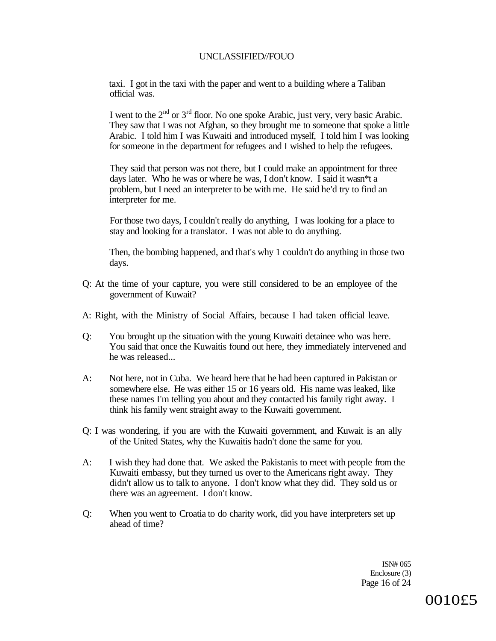taxi. I got in the taxi with the paper and went to a building where a Taliban official was.

I went to the  $2<sup>nd</sup>$  or  $3<sup>rd</sup>$  floor. No one spoke Arabic, just very, very basic Arabic. They saw that I was not Afghan, so they brought me to someone that spoke a little Arabic. I told him I was Kuwaiti and introduced myself, I told him I was looking for someone in the department for refugees and I wished to help the refugees.

They said that person was not there, but I could make an appointment for three days later. Who he was or where he was, I don't know. I said it wasn\*t a problem, but I need an interpreter to be with me. He said he'd try to find an interpreter for me.

For those two days, I couldn't really do anything, I was looking for a place to stay and looking for a translator. I was not able to do anything.

Then, the bombing happened, and that's why 1 couldn't do anything in those two days.

- Q: At the time of your capture, you were still considered to be an employee of the government of Kuwait?
- A: Right, with the Ministry of Social Affairs, because I had taken official leave.
- Q: You brought up the situation with the young Kuwaiti detainee who was here. You said that once the Kuwaitis found out here, they immediately intervened and he was released...
- A: Not here, not in Cuba. We heard here that he had been captured in Pakistan or somewhere else. He was either 15 or 16 years old. His name was leaked, like these names I'm telling you about and they contacted his family right away. I think his family went straight away to the Kuwaiti government.
- Q: I was wondering, if you are with the Kuwaiti government, and Kuwait is an ally of the United States, why the Kuwaitis hadn't done the same for you.
- A: I wish they had done that. We asked the Pakistanis to meet with people from the Kuwaiti embassy, but they turned us over to the Americans right away. They didn't allow us to talk to anyone. I don't know what they did. They sold us or there was an agreement. I don't know.
- Q: When you went to Croatia to do charity work, did you have interpreters set up ahead of time?

ISN# 065 Enclosure (3) Page 16 of 24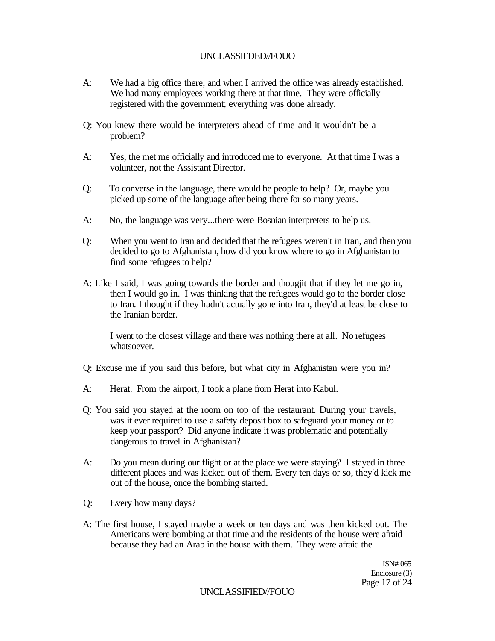- A: We had a big office there, and when I arrived the office was already established. We had many employees working there at that time. They were officially registered with the government; everything was done already.
- Q: You knew there would be interpreters ahead of time and it wouldn't be a problem?
- A: Yes, the met me officially and introduced me to everyone. At that time I was a volunteer, not the Assistant Director.
- Q: To converse in the language, there would be people to help? Or, maybe you picked up some of the language after being there for so many years.
- A: No, the language was very...there were Bosnian interpreters to help us.
- Q: When you went to Iran and decided that the refugees weren't in Iran, and then you decided to go to Afghanistan, how did you know where to go in Afghanistan to find some refugees to help?
- A: Like I said, I was going towards the border and thougjit that if they let me go in, then I would go in. I was thinking that the refugees would go to the border close to Iran. I thought if they hadn't actually gone into Iran, they'd at least be close to the Iranian border.

I went to the closest village and there was nothing there at all. No refugees whatsoever.

- Q: Excuse me if you said this before, but what city in Afghanistan were you in?
- A: Herat. From the airport, I took a plane from Herat into Kabul.
- Q: You said you stayed at the room on top of the restaurant. During your travels, was it ever required to use a safety deposit box to safeguard your money or to keep your passport? Did anyone indicate it was problematic and potentially dangerous to travel in Afghanistan?
- A: Do you mean during our flight or at the place we were staying? I stayed in three different places and was kicked out of them. Every ten days or so, they'd kick me out of the house, once the bombing started.
- Q: Every how many days?
- A: The first house, I stayed maybe a week or ten days and was then kicked out. The Americans were bombing at that time and the residents of the house were afraid because they had an Arab in the house with them. They were afraid the

ISN# 065 Enclosure (3) Page 17 of 24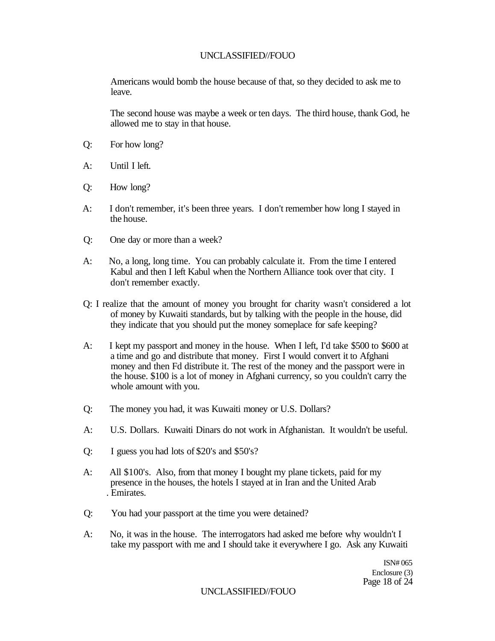Americans would bomb the house because of that, so they decided to ask me to leave.

The second house was maybe a week or ten days. The third house, thank God, he allowed me to stay in that house.

- Q: For how long?
- A: Until I left.
- Q: How long?
- A: I don't remember, it's been three years. I don't remember how long I stayed in the house.
- Q: One day or more than a week?
- A: No, a long, long time. You can probably calculate it. From the time I entered Kabul and then I left Kabul when the Northern Alliance took over that city. I don't remember exactly.
- Q: I realize that the amount of money you brought for charity wasn't considered a lot of money by Kuwaiti standards, but by talking with the people in the house, did they indicate that you should put the money someplace for safe keeping?
- A: I kept my passport and money in the house. When I left, I'd take \$500 to \$600 at a time and go and distribute that money. First I would convert it to Afghani money and then Fd distribute it. The rest of the money and the passport were in the house. \$100 is a lot of money in Afghani currency, so you couldn't carry the whole amount with you.
- Q: The money you had, it was Kuwaiti money or U.S. Dollars?
- A: U.S. Dollars. Kuwaiti Dinars do not work in Afghanistan. It wouldn't be useful.
- Q: I guess you had lots of \$20's and \$50's?
- A: All \$100's. Also, from that money I bought my plane tickets, paid for my presence in the houses, the hotels I stayed at in Iran and the United Arab . Emirates.
- Q: You had your passport at the time you were detained?
- A: No, it was in the house. The interrogators had asked me before why wouldn't I take my passport with me and I should take it everywhere I go. Ask any Kuwaiti

ISN# 065 Enclosure (3) Page 18 of 24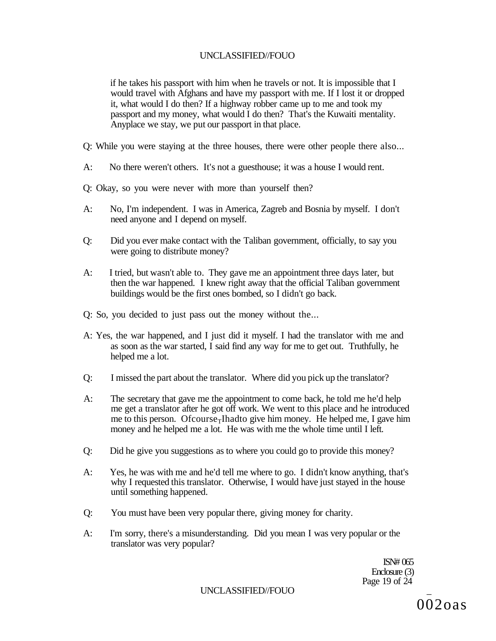if he takes his passport with him when he travels or not. It is impossible that I would travel with Afghans and have my passport with me. If I lost it or dropped it, what would I do then? If a highway robber came up to me and took my passport and my money, what would I do then? That's the Kuwaiti mentality. Anyplace we stay, we put our passport in that place.

- Q: While you were staying at the three houses, there were other people there also...
- A: No there weren't others. It's not a guesthouse; it was a house I would rent.
- Q: Okay, so you were never with more than yourself then?
- A: No, I'm independent. I was in America, Zagreb and Bosnia by myself. I don't need anyone and I depend on myself.
- Q: Did you ever make contact with the Taliban government, officially, to say you were going to distribute money?
- A: I tried, but wasn't able to. They gave me an appointment three days later, but then the war happened. I knew right away that the official Taliban government buildings would be the first ones bombed, so I didn't go back.
- Q: So, you decided to just pass out the money without the...
- A: Yes, the war happened, and I just did it myself. I had the translator with me and as soon as the war started, I said find any way for me to get out. Truthfully, he helped me a lot.
- Q: I missed the part about the translator. Where did you pick up the translator?
- A: The secretary that gave me the appointment to come back, he told me he'd help me get a translator after he got off work. We went to this place and he introduced me to this person. Of course<sub>T</sub>Ihadto give him money. He helped me, I gave him money and he helped me a lot. He was with me the whole time until I left.
- Q: Did he give you suggestions as to where you could go to provide this money?
- A: Yes, he was with me and he'd tell me where to go. I didn't know anything, that's why I requested this translator. Otherwise, I would have just stayed in the house until something happened.
- Q: You must have been very popular there, giving money for charity.
- A: I'm sorry, there's a misunderstanding. Did you mean I was very popular or the translator was very popular?

ISN# 065 Enclosure (3) Page 19 of 24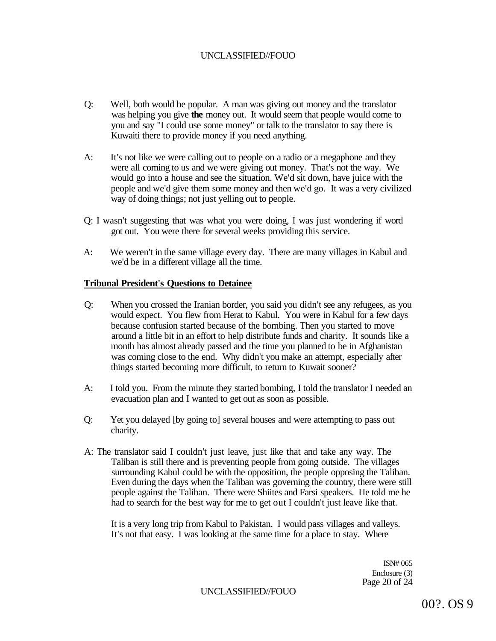- Q: Well, both would be popular. A man was giving out money and the translator was helping you give **the** money out. It would seem that people would come to you and say "I could use some money" or talk to the translator to say there is Kuwaiti there to provide money if you need anything.
- A: It's not like we were calling out to people on a radio or a megaphone and they were all coming to us and we were giving out money. That's not the way. We would go into a house and see the situation. We'd sit down, have juice with the people and we'd give them some money and then we'd go. It was a very civilized way of doing things; not just yelling out to people.
- Q: I wasn't suggesting that was what you were doing, I was just wondering if word got out. You were there for several weeks providing this service.
- A: We weren't in the same village every day. There are many villages in Kabul and we'd be in a different village all the time.

#### **Tribunal President's Questions to Detainee**

- Q: When you crossed the Iranian border, you said you didn't see any refugees, as you would expect. You flew from Herat to Kabul. You were in Kabul for a few days because confusion started because of the bombing. Then you started to move around a little bit in an effort to help distribute funds and charity. It sounds like a month has almost already passed and the time you planned to be in Afghanistan was coming close to the end. Why didn't you make an attempt, especially after things started becoming more difficult, to return to Kuwait sooner?
- A: I told you. From the minute they started bombing, I told the translator I needed an evacuation plan and I wanted to get out as soon as possible.
- Q: Yet you delayed [by going to] several houses and were attempting to pass out charity.
- A: The translator said I couldn't just leave, just like that and take any way. The Taliban is still there and is preventing people from going outside. The villages surrounding Kabul could be with the opposition, the people opposing the Taliban. Even during the days when the Taliban was governing the country, there were still people against the Taliban. There were Shiites and Farsi speakers. He told me he had to search for the best way for me to get out I couldn't just leave like that.

It is a very long trip from Kabul to Pakistan. I would pass villages and valleys. It's not that easy. I was looking at the same time for a place to stay. Where

> ISN# 065 Enclosure (3) Page 20 of 24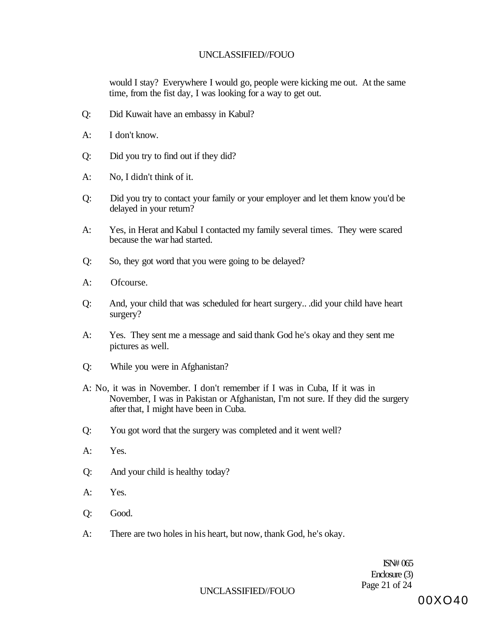would I stay? Everywhere I would go, people were kicking me out. At the same time, from the fist day, I was looking for a way to get out.

- Q: Did Kuwait have an embassy in Kabul?
- A: I don't know.
- Q: Did you try to find out if they did?
- A: No, I didn't think of it.
- Q: Did you try to contact your family or your employer and let them know you'd be delayed in your return?
- A: Yes, in Herat and Kabul I contacted my family several times. They were scared because the war had started.
- Q: So, they got word that you were going to be delayed?
- A: Ofcourse.
- Q: And, your child that was scheduled for heart surgery.. .did your child have heart surgery?
- A: Yes. They sent me a message and said thank God he's okay and they sent me pictures as well.
- Q: While you were in Afghanistan?
- A: No, it was in November. I don't remember if I was in Cuba, If it was in November, I was in Pakistan or Afghanistan, I'm not sure. If they did the surgery after that, I might have been in Cuba.
- Q: You got word that the surgery was completed and it went well?
- A: Yes.
- Q: And your child is healthy today?
- A: Yes.
- Q: Good.
- A: There are two holes in his heart, but now, thank God, he's okay.

ISN# 065 Enclosure (3) Page 21 of 24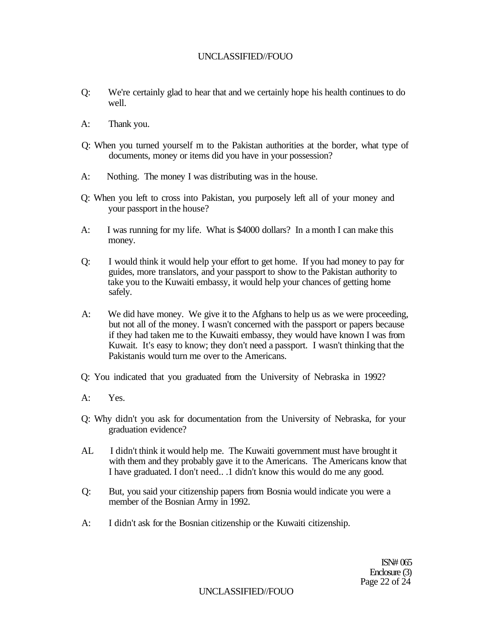- Q: We're certainly glad to hear that and we certainly hope his health continues to do well.
- A: Thank you.
- Q: When you turned yourself m to the Pakistan authorities at the border, what type of documents, money or items did you have in your possession?
- A: Nothing. The money I was distributing was in the house.
- Q: When you left to cross into Pakistan, you purposely left all of your money and your passport in the house?
- A: I was running for my life. What is \$4000 dollars? In a month I can make this money.
- Q: I would think it would help your effort to get home. If you had money to pay for guides, more translators, and your passport to show to the Pakistan authority to take you to the Kuwaiti embassy, it would help your chances of getting home safely.
- A: We did have money. We give it to the Afghans to help us as we were proceeding, but not all of the money. I wasn't concerned with the passport or papers because if they had taken me to the Kuwaiti embassy, they would have known I was from Kuwait. It's easy to know; they don't need a passport. I wasn't thinking that the Pakistanis would turn me over to the Americans.
- Q: You indicated that you graduated from the University of Nebraska in 1992?
- A: Yes.
- Q: Why didn't you ask for documentation from the University of Nebraska, for your graduation evidence?
- AL I didn't think it would help me. The Kuwaiti government must have brought it with them and they probably gave it to the Americans. The Americans know that I have graduated. I don't need.. .1 didn't know this would do me any good.
- Q: But, you said your citizenship papers from Bosnia would indicate you were a member of the Bosnian Army in 1992.
- A: I didn't ask for the Bosnian citizenship or the Kuwaiti citizenship.

ISN# 065 Enclosure (3) Page 22 of 24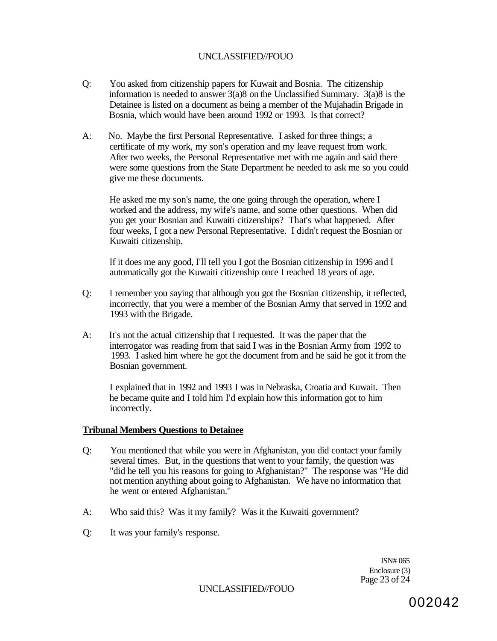- Q: You asked from citizenship papers for Kuwait and Bosnia. The citizenship information is needed to answer 3(a)8 on the Unclassified Summary. 3(a)8 is the Detainee is listed on a document as being a member of the Mujahadin Brigade in Bosnia, which would have been around 1992 or 1993. Is that correct?
- A: No. Maybe the first Personal Representative. I asked for three things; a certificate of my work, my son's operation and my leave request from work. After two weeks, the Personal Representative met with me again and said there were some questions from the State Department he needed to ask me so you could give me these documents.

He asked me my son's name, the one going through the operation, where I worked and the address, my wife's name, and some other questions. When did you get your Bosnian and Kuwaiti citizenships? That's what happened. After four weeks, I got a new Personal Representative. I didn't request the Bosnian or Kuwaiti citizenship.

If it does me any good, I'll tell you I got the Bosnian citizenship in 1996 and I automatically got the Kuwaiti citizenship once I reached 18 years of age.

- Q: I remember you saying that although you got the Bosnian citizenship, it reflected, incorrectly, that you were a member of the Bosnian Army that served in 1992 and 1993 with the Brigade.
- A: It's not the actual citizenship that I requested. It was the paper that the interrogator was reading from that said I was in the Bosnian Army from 1992 to 1993. I asked him where he got the document from and he said he got it from the Bosnian government.

I explained that in 1992 and 1993 I was in Nebraska, Croatia and Kuwait. Then he became quite and I told him I'd explain how this information got to him incorrectly.

#### **Tribunal Members Questions to Detainee**

- Q: You mentioned that while you were in Afghanistan, you did contact your family several times. But, in the questions that went to your family, the question was "did he tell you his reasons for going to Afghanistan?" The response was "He did not mention anything about going to Afghanistan. We have no information that he went or entered Afghanistan."
- A: Who said this? Was it my family? Was it the Kuwaiti government?
- Q: It was your family's response.

ISN# 065 Enclosure (3) Page 23 of 24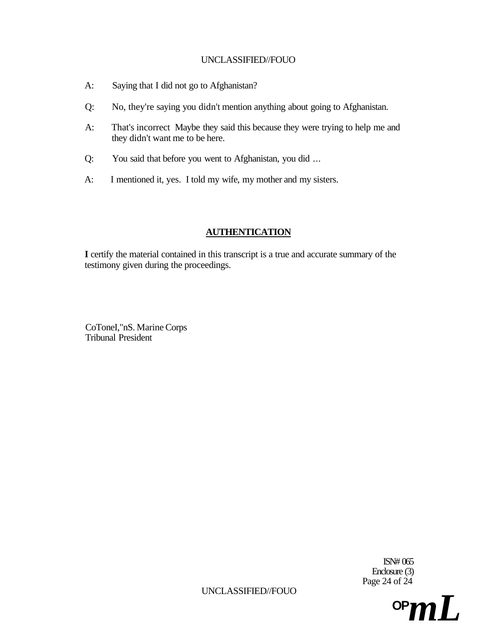- A: Saying that I did not go to Afghanistan?
- Q: No, they're saying you didn't mention anything about going to Afghanistan.
- A: That's incorrect Maybe they said this because they were trying to help me and they didn't want me to be here.
- Q: You said that before you went to Afghanistan, you did ...
- A: I mentioned it, yes. I told my wife, my mother and my sisters.

## **AUTHENTICATION**

**I** certify the material contained in this transcript is a true and accurate summary of the testimony given during the proceedings.

CoToneI,"nS. Marine Corps Tribunal President

> ISN# 065 Enclosure (3) Page 24 of  $24$

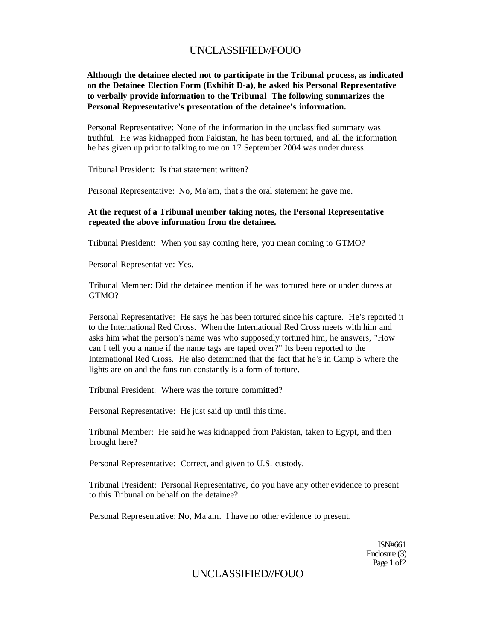**Although the detainee elected not to participate in the Tribunal process, as indicated on the Detainee Election Form (Exhibit D-a), he asked his Personal Representative to verbally provide information to the Tribunal The following summarizes the Personal Representative's presentation of the detainee's information.** 

Personal Representative: None of the information in the unclassified summary was truthful. He was kidnapped from Pakistan, he has been tortured, and all the information he has given up prior to talking to me on 17 September 2004 was under duress.

Tribunal President: Is that statement written?

Personal Representative: No, Ma'am, that's the oral statement he gave me.

#### **At the request of a Tribunal member taking notes, the Personal Representative repeated the above information from the detainee.**

Tribunal President: When you say coming here, you mean coming to GTMO?

Personal Representative: Yes.

Tribunal Member: Did the detainee mention if he was tortured here or under duress at GTMO?

Personal Representative: He says he has been tortured since his capture. He's reported it to the International Red Cross. When the International Red Cross meets with him and asks him what the person's name was who supposedly tortured him, he answers, "How can I tell you a name if the name tags are taped over?" Its been reported to the International Red Cross. He also determined that the fact that he's in Camp 5 where the lights are on and the fans run constantly is a form of torture.

Tribunal President: Where was the torture committed?

Personal Representative: He just said up until this time.

Tribunal Member: He said he was kidnapped from Pakistan, taken to Egypt, and then brought here?

Personal Representative: Correct, and given to U.S. custody.

Tribunal President: Personal Representative, do you have any other evidence to present to this Tribunal on behalf on the detainee?

Personal Representative: No, Ma'am. I have no other evidence to present.

ISN#661 Enclosure (3) Page 1 of2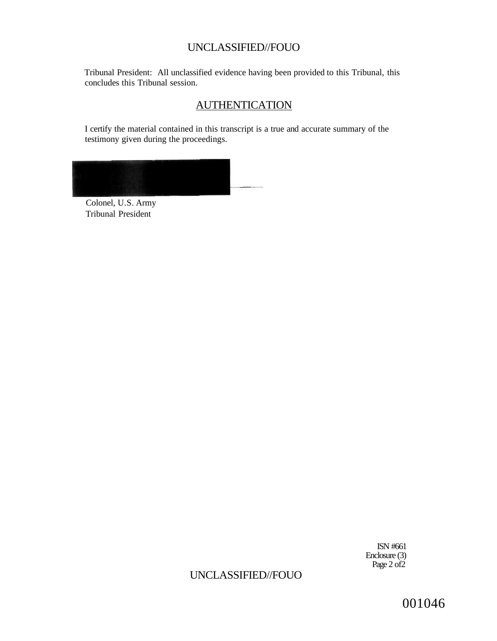Tribunal President: All unclassified evidence having been provided to this Tribunal, this concludes this Tribunal session.

# **AUTHENTICATION**

I certify the material contained in this transcript is a true and accurate summary of the testimony given during the proceedings.



Colonel, U.S. Army Tribunal President

> ISN #661 Enclosure (3) Page 2 of 2

# UNCLASSIFIED//FOUO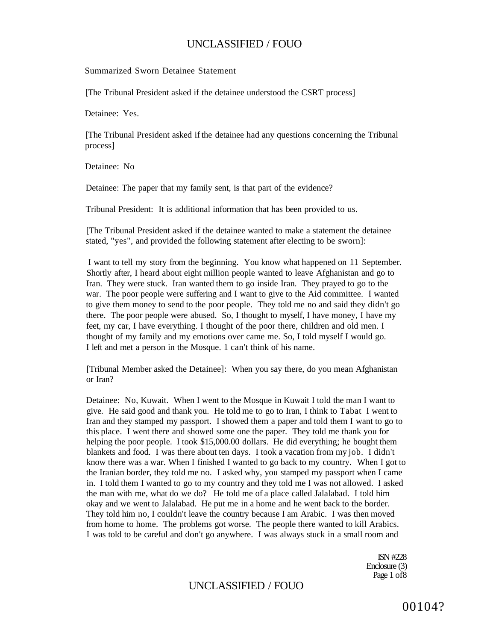#### Summarized Sworn Detainee Statement

[The Tribunal President asked if the detainee understood the CSRT process]

Detainee: Yes.

[The Tribunal President asked if the detainee had any questions concerning the Tribunal process]

Detainee: No

Detainee: The paper that my family sent, is that part of the evidence?

Tribunal President: It is additional information that has been provided to us.

[The Tribunal President asked if the detainee wanted to make a statement the detainee stated, "yes", and provided the following statement after electing to be sworn]:

I want to tell my story from the beginning. You know what happened on 11 September. Shortly after, I heard about eight million people wanted to leave Afghanistan and go to Iran. They were stuck. Iran wanted them to go inside Iran. They prayed to go to the war. The poor people were suffering and I want to give to the Aid committee. I wanted to give them money to send to the poor people. They told me no and said they didn't go there. The poor people were abused. So, I thought to myself, I have money, I have my feet, my car, I have everything. I thought of the poor there, children and old men. I thought of my family and my emotions over came me. So, I told myself I would go. I left and met a person in the Mosque. 1 can't think of his name.

[Tribunal Member asked the Detainee]: When you say there, do you mean Afghanistan or Iran?

Detainee: No, Kuwait. When I went to the Mosque in Kuwait I told the man I want to give. He said good and thank you. He told me to go to Iran, I think to Tabat I went to Iran and they stamped my passport. I showed them a paper and told them I want to go to this place. I went there and showed some one the paper. They told me thank you for helping the poor people. I took \$15,000.00 dollars. He did everything; he bought them blankets and food. I was there about ten days. I took a vacation from my job. I didn't know there was a war. When I finished I wanted to go back to my country. When I got to the Iranian border, they told me no. I asked why, you stamped my passport when I came in. I told them I wanted to go to my country and they told me I was not allowed. I asked the man with me, what do we do? He told me of a place called Jalalabad. I told him okay and we went to Jalalabad. He put me in a home and he went back to the border. They told him no, I couldn't leave the country because I am Arabic. I was then moved from home to home. The problems got worse. The people there wanted to kill Arabics. I was told to be careful and don't go anywhere. I was always stuck in a small room and

> ISN #228 Enclosure (3) Page 1 of8

## UNCLASSIFIED / FOUO

00104?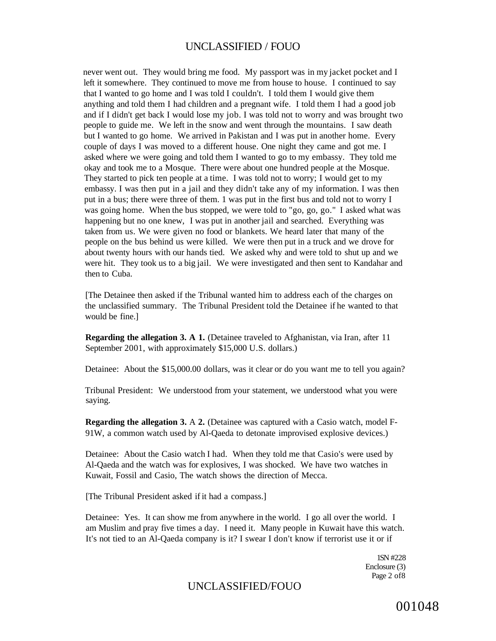never went out. They would bring me food. My passport was in my jacket pocket and I left it somewhere. They continued to move me from house to house. I continued to say that I wanted to go home and I was told I couldn't. I told them I would give them anything and told them I had children and a pregnant wife. I told them I had a good job and if I didn't get back I would lose my job. I was told not to worry and was brought two people to guide me. We left in the snow and went through the mountains. I saw death but I wanted to go home. We arrived in Pakistan and I was put in another home. Every couple of days I was moved to a different house. One night they came and got me. I asked where we were going and told them I wanted to go to my embassy. They told me okay and took me to a Mosque. There were about one hundred people at the Mosque. They started to pick ten people at a time. I was told not to worry; I would get to my embassy. I was then put in a jail and they didn't take any of my information. I was then put in a bus; there were three of them. 1 was put in the first bus and told not to worry I was going home. When the bus stopped, we were told to "go, go, go." I asked what was happening but no one knew, I was put in another jail and searched. Everything was taken from us. We were given no food or blankets. We heard later that many of the people on the bus behind us were killed. We were then put in a truck and we drove for about twenty hours with our hands tied. We asked why and were told to shut up and we were hit. They took us to a big jail. We were investigated and then sent to Kandahar and then to Cuba.

[The Detainee then asked if the Tribunal wanted him to address each of the charges on the unclassified summary. The Tribunal President told the Detainee if he wanted to that would be fine.]

**Regarding the allegation 3. A 1.** (Detainee traveled to Afghanistan, via Iran, after 11) September 2001, with approximately \$15,000 U.S. dollars.)

Detainee: About the \$15,000.00 dollars, was it clear or do you want me to tell you again?

Tribunal President: We understood from your statement, we understood what you were saying.

**Regarding the allegation 3.** A **2.** (Detainee was captured with a Casio watch, model F-91W, a common watch used by Al-Qaeda to detonate improvised explosive devices.)

Detainee: About the Casio watch I had. When they told me that Casio's were used by Al-Qaeda and the watch was for explosives, I was shocked. We have two watches in Kuwait, Fossil and Casio, The watch shows the direction of Mecca.

[The Tribunal President asked if it had a compass.]

Detainee: Yes. It can show me from anywhere in the world. I go all over the world. I am Muslim and pray five times a day. I need it. Many people in Kuwait have this watch. It's not tied to an Al-Qaeda company is it? I swear I don't know if terrorist use it or if

> 1SN #228 Enclosure (3) Page 2 of8

## UNCLASSIFIED/FOUO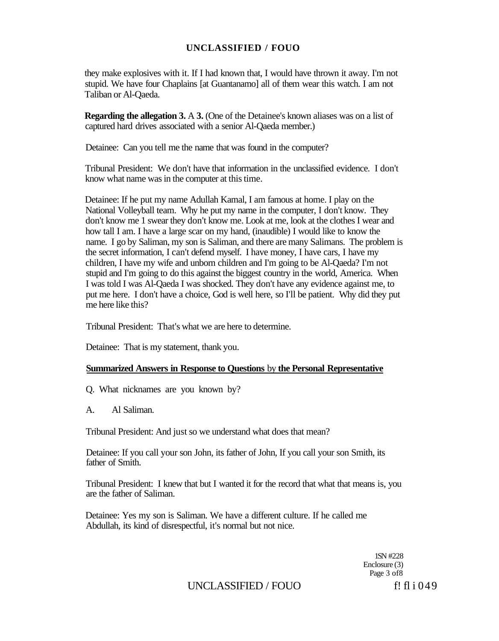they make explosives with it. If I had known that, I would have thrown it away. I'm not stupid. We have four Chaplains [at Guantanamo] all of them wear this watch. I am not Taliban or Al-Qaeda.

**Regarding the allegation 3.** A **3.** (One of the Detainee's known aliases was on a list of captured hard drives associated with a senior Al-Qaeda member.)

Detainee: Can you tell me the name that was found in the computer?

Tribunal President: We don't have that information in the unclassified evidence. I don't know what name was in the computer at this time.

Detainee: If he put my name Adullah Kamal, I am famous at home. I play on the National Volleyball team. Why he put my name in the computer, I don't know. They don't know me 1 swear they don't know me. Look at me, look at the clothes I wear and how tall I am. I have a large scar on my hand, (inaudible) I would like to know the name. I go by Saliman, my son is Saliman, and there are many Salimans. The problem is the secret information, I can't defend myself. I have money, I have cars, I have my children, I have my wife and unborn children and I'm going to be Al-Qaeda? I'm not stupid and I'm going to do this against the biggest country in the world, America. When I was told I was Al-Qaeda I was shocked. They don't have any evidence against me, to put me here. I don't have a choice, God is well here, so I'll be patient. Why did they put me here like this?

Tribunal President: That's what we are here to determine.

Detainee: That is my statement, thank you.

#### **Summarized Answers in Response to Questions** by **the Personal Representative**

Q. What nicknames are you known by?

A. Al Saliman.

Tribunal President: And just so we understand what does that mean?

Detainee: If you call your son John, its father of John, If you call your son Smith, its father of Smith.

Tribunal President: I knew that but I wanted it for the record that what that means is, you are the father of Saliman.

Detainee: Yes my son is Saliman. We have a different culture. If he called me Abdullah, its kind of disrespectful, it's normal but not nice.

> 1SN #228 Enclosure (3) Page 3 of8

### UNCLASSIFIED / FOUO f! fl i 049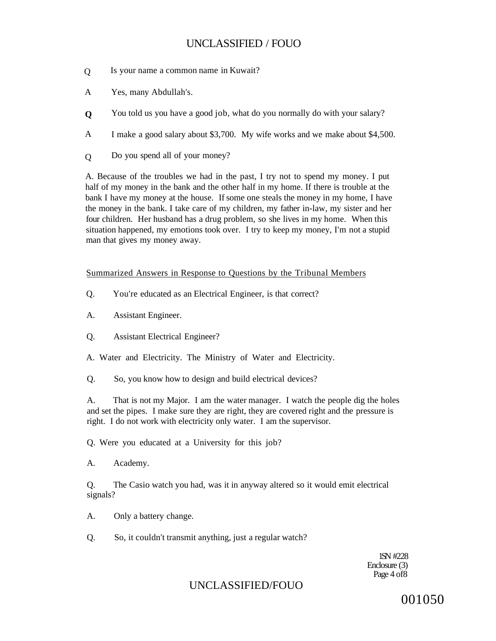- Is your name a common name in Kuwait? Q
- Yes, many Abdullah's. A
- You told us you have a good job, what do you normally do with your salary? **Q**
- I make a good salary about \$3,700. My wife works and we make about \$4,500. A
- Do you spend all of your money? Q

A. Because of the troubles we had in the past, I try not to spend my money. I put half of my money in the bank and the other half in my home. If there is trouble at the bank I have my money at the house. If some one steals the money in my home, I have the money in the bank. I take care of my children, my father in-law, my sister and her four children. Her husband has a drug problem, so she lives in my home. When this situation happened, my emotions took over. I try to keep my money, I'm not a stupid man that gives my money away.

#### Summarized Answers in Response to Questions by the Tribunal Members

- Q. You're educated as an Electrical Engineer, is that correct?
- A. Assistant Engineer.
- Q. Assistant Electrical Engineer?
- A. Water and Electricity. The Ministry of Water and Electricity.
- Q. So, you know how to design and build electrical devices?

A. That is not my Major. I am the water manager. I watch the people dig the holes and set the pipes. I make sure they are right, they are covered right and the pressure is right. I do not work with electricity only water. I am the supervisor.

Q. Were you educated at a University for this job?

A. Academy.

Q. The Casio watch you had, was it in anyway altered so it would emit electrical signals?

- A. Only a battery change.
- Q. So, it couldn't transmit anything, just a regular watch?

1SN #228 Enclosure (3) Page 4 of 8

## UNCLASSIFIED/FOUO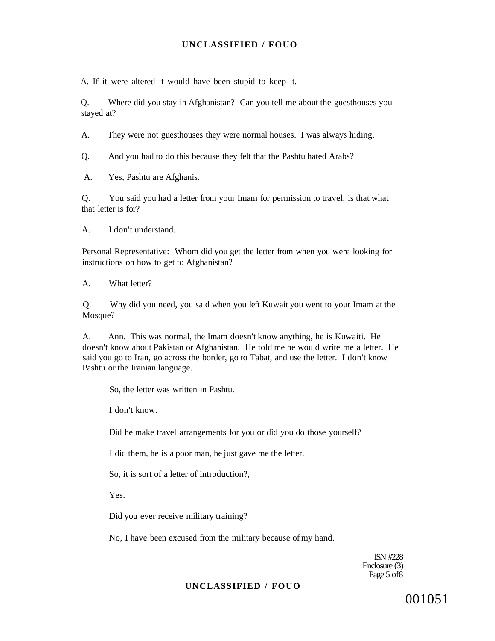A. If it were altered it would have been stupid to keep it.

Q. Where did you stay in Afghanistan? Can you tell me about the guesthouses you stayed at?

A. They were not guesthouses they were normal houses. I was always hiding.

Q. And you had to do this because they felt that the Pashtu hated Arabs?

A. Yes, Pashtu are Afghanis.

Q. You said you had a letter from your Imam for permission to travel, is that what that letter is for?

A. I don't understand.

Personal Representative: Whom did you get the letter from when you were looking for instructions on how to get to Afghanistan?

A. What letter?

Q. Why did you need, you said when you left Kuwait you went to your Imam at the Mosque?

A. Ann. This was normal, the Imam doesn't know anything, he is Kuwaiti. He doesn't know about Pakistan or Afghanistan. He told me he would write me a letter. He said you go to Iran, go across the border, go to Tabat, and use the letter. I don't know Pashtu or the Iranian language.

So, the letter was written in Pashtu.

I don't know.

Did he make travel arrangements for you or did you do those yourself?

I did them, he is a poor man, he just gave me the letter.

So, it is sort of a letter of introduction?,

Yes.

Did you ever receive military training?

No, I have been excused from the military because of my hand.

ISN #228 Enclosure (3) Page 5 of 8

### **UNCLASSIFIED / FOUO**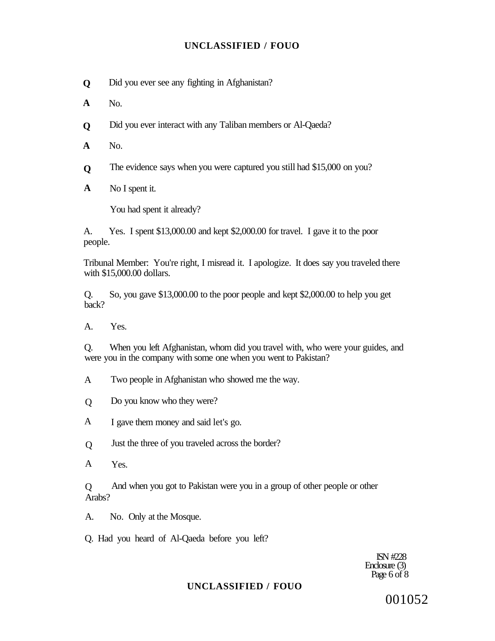- **Q**  Did you ever see any fighting in Afghanistan?
- **A**  No.
- **Q**  Did you ever interact with any Taliban members or Al-Qaeda?
- **A**  No.
- **Q**  The evidence says when you were captured you still had \$15,000 on you?
- **A**  No I spent it.

You had spent it already?

A. Yes. I spent \$13,000.00 and kept \$2,000.00 for travel. I gave it to the poor people.

Tribunal Member: You're right, I misread it. I apologize. It does say you traveled there with \$15,000.00 dollars.

Q. So, you gave \$13,000.00 to the poor people and kept \$2,000.00 to help you get back?

A. Yes.

Q. When you left Afghanistan, whom did you travel with, who were your guides, and were you in the company with some one when you went to Pakistan?

A Two people in Afghanistan who showed me the way.

- $\overline{O}$ Do you know who they were?
- A I gave them money and said let's go.
- Q Just the three of you traveled across the border?
- A Yes.

Q Arabs? And when you got to Pakistan were you in a group of other people or other

- A. No. Only at the Mosque.
- Q. Had you heard of Al-Qaeda before you left?

ISN #228 Enclosure (3) Page 6 of 8

### **UNCLASSIFIED / FOUO**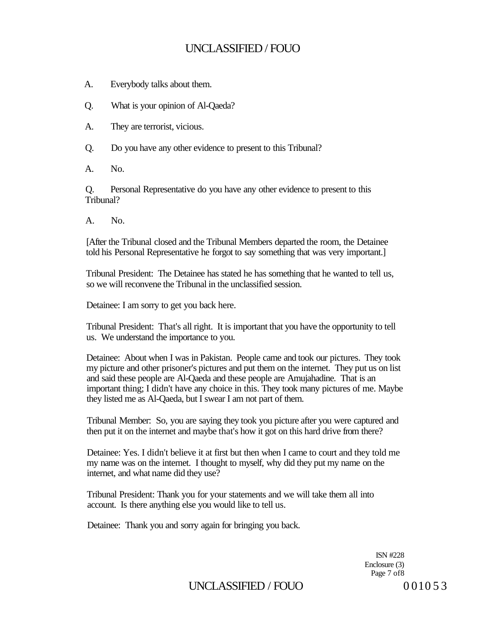- A. Everybody talks about them.
- Q. What is your opinion of Al-Qaeda?
- A. They are terrorist, vicious.
- Q. Do you have any other evidence to present to this Tribunal?
- A. No.

Q. Personal Representative do you have any other evidence to present to this Tribunal?

A. No.

[After the Tribunal closed and the Tribunal Members departed the room, the Detainee told his Personal Representative he forgot to say something that was very important.]

Tribunal President: The Detainee has stated he has something that he wanted to tell us, so we will reconvene the Tribunal in the unclassified session.

Detainee: I am sorry to get you back here.

Tribunal President: That's all right. It is important that you have the opportunity to tell us. We understand the importance to you.

Detainee: About when I was in Pakistan. People came and took our pictures. They took my picture and other prisoner's pictures and put them on the internet. They put us on list and said these people are Al-Qaeda and these people are Amujahadine. That is an important thing; I didn't have any choice in this. They took many pictures of me. Maybe they listed me as Al-Qaeda, but I swear I am not part of them.

Tribunal Member: So, you are saying they took you picture after you were captured and then put it on the internet and maybe that's how it got on this hard drive from there?

Detainee: Yes. I didn't believe it at first but then when I came to court and they told me my name was on the internet. I thought to myself, why did they put my name on the internet, and what name did they use?

Tribunal President: Thank you for your statements and we will take them all into account. Is there anything else you would like to tell us.

Detainee: Thank you and sorry again for bringing you back.

ISN #228 Enclosure (3) Page 7 of8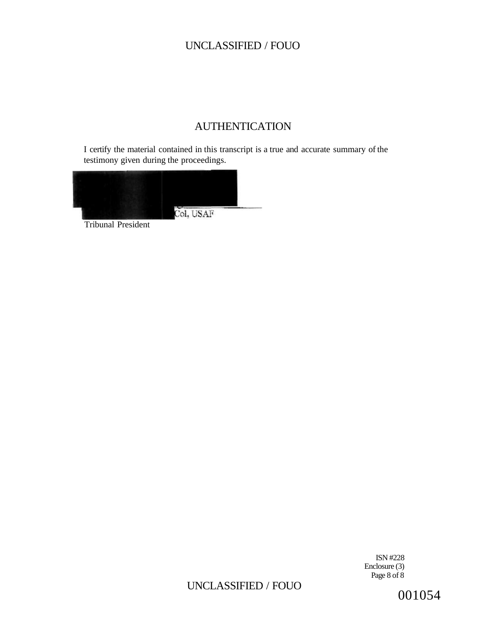# AUTHENTICATION

I certify the material contained in this transcript is a true and accurate summary of the testimony given during the proceedings.



ISN #228 Enclosure (3) Page 8 of 8

UNCLASSIFIED / FOUO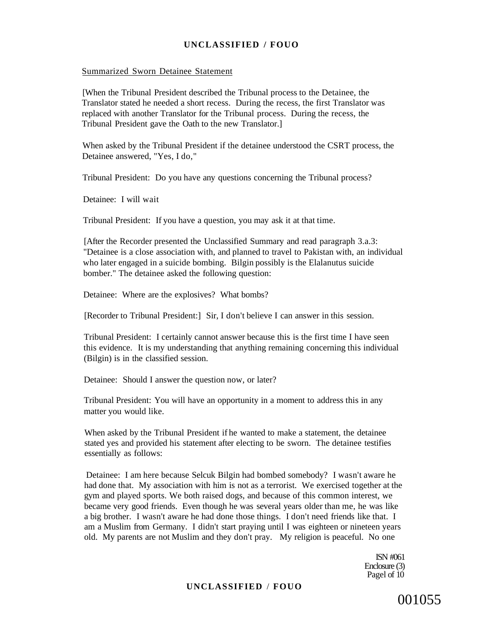#### Summarized Sworn Detainee Statement

[When the Tribunal President described the Tribunal process to the Detainee, the Translator stated he needed a short recess. During the recess, the first Translator was replaced with another Translator for the Tribunal process. During the recess, the Tribunal President gave the Oath to the new Translator.]

When asked by the Tribunal President if the detainee understood the CSRT process, the Detainee answered, "Yes, I do,"

Tribunal President: Do you have any questions concerning the Tribunal process?

Detainee: I will wait

Tribunal President: If you have a question, you may ask it at that time.

[After the Recorder presented the Unclassified Summary and read paragraph 3.a.3: "Detainee is a close association with, and planned to travel to Pakistan with, an individual who later engaged in a suicide bombing. Bilgin possibly is the Elalanutus suicide bomber." The detainee asked the following question:

Detainee: Where are the explosives? What bombs?

[Recorder to Tribunal President:] Sir, I don't believe I can answer in this session.

Tribunal President: I certainly cannot answer because this is the first time I have seen this evidence. It is my understanding that anything remaining concerning this individual (Bilgin) is in the classified session.

Detainee: Should I answer the question now, or later?

Tribunal President: You will have an opportunity in a moment to address this in any matter you would like.

When asked by the Tribunal President if he wanted to make a statement, the detainee stated yes and provided his statement after electing to be sworn. The detainee testifies essentially as follows:

Detainee: I am here because Selcuk Bilgin had bombed somebody? I wasn't aware he had done that. My association with him is not as a terrorist. We exercised together at the gym and played sports. We both raised dogs, and because of this common interest, we became very good friends. Even though he was several years older than me, he was like a big brother. I wasn't aware he had done those things. I don't need friends like that. I am a Muslim from Germany. I didn't start praying until I was eighteen or nineteen years old. My parents are not Muslim and they don't pray. My religion is peaceful. No one

> ISN #061 Enclosure (3) Pagel of 10

#### **UNCLASSIFIED** / **FOUO**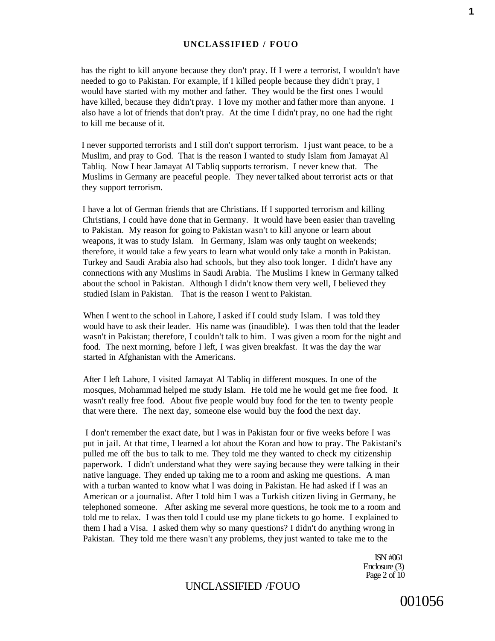has the right to kill anyone because they don't pray. If I were a terrorist, I wouldn't have needed to go to Pakistan. For example, if I killed people because they didn't pray, I would have started with my mother and father. They would be the first ones I would have killed, because they didn't pray. I love my mother and father more than anyone. I also have a lot of friends that don't pray. At the time I didn't pray, no one had the right to kill me because of it.

I never supported terrorists and I still don't support terrorism. I just want peace, to be a Muslim, and pray to God. That is the reason I wanted to study Islam from Jamayat Al Tabliq. Now I hear Jamayat Al Tabliq supports terrorism. I never knew that. The Muslims in Germany are peaceful people. They never talked about terrorist acts or that they support terrorism.

I have a lot of German friends that are Christians. If I supported terrorism and killing Christians, I could have done that in Germany. It would have been easier than traveling to Pakistan. My reason for going to Pakistan wasn't to kill anyone or learn about weapons, it was to study Islam. In Germany, Islam was only taught on weekends; therefore, it would take a few years to learn what would only take a month in Pakistan. Turkey and Saudi Arabia also had schools, but they also took longer. I didn't have any connections with any Muslims in Saudi Arabia. The Muslims I knew in Germany talked about the school in Pakistan. Although I didn't know them very well, I believed they studied Islam in Pakistan. That is the reason I went to Pakistan.

When I went to the school in Lahore, I asked if I could study Islam. I was told they would have to ask their leader. His name was (inaudible). I was then told that the leader wasn't in Pakistan; therefore, I couldn't talk to him. I was given a room for the night and food. The next morning, before I left, I was given breakfast. It was the day the war started in Afghanistan with the Americans.

After I left Lahore, I visited Jamayat Al Tabliq in different mosques. In one of the mosques, Mohammad helped me study Islam. He told me he would get me free food. It wasn't really free food. About five people would buy food for the ten to twenty people that were there. The next day, someone else would buy the food the next day.

I don't remember the exact date, but I was in Pakistan four or five weeks before I was put in jail. At that time, I learned a lot about the Koran and how to pray. The Pakistani's pulled me off the bus to talk to me. They told me they wanted to check my citizenship paperwork. I didn't understand what they were saying because they were talking in their native language. They ended up taking me to a room and asking me questions. A man with a turban wanted to know what I was doing in Pakistan. He had asked if I was an American or a journalist. After I told him I was a Turkish citizen living in Germany, he telephoned someone. After asking me several more questions, he took me to a room and told me to relax. I was then told I could use my plane tickets to go home. I explained to them I had a Visa. I asked them why so many questions? I didn't do anything wrong in Pakistan. They told me there wasn't any problems, they just wanted to take me to the

> ISN #061 Enclosure (3) Page 2 of 10

# UNCLASSIFIED /FOUO

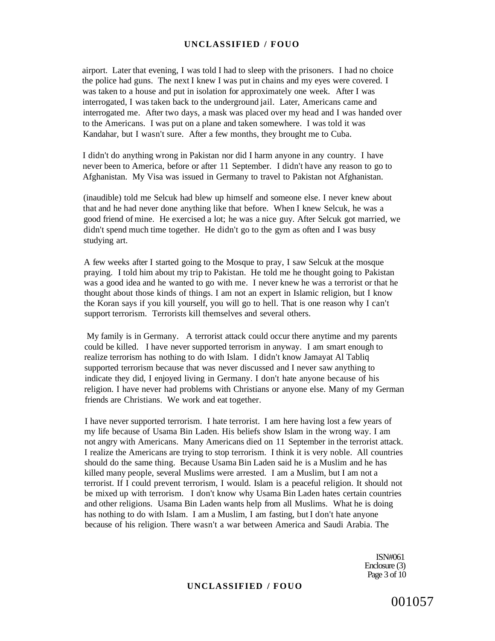airport. Later that evening, I was told I had to sleep with the prisoners. I had no choice the police had guns. The next I knew I was put in chains and my eyes were covered. I was taken to a house and put in isolation for approximately one week. After I was interrogated, I was taken back to the underground jail. Later, Americans came and interrogated me. After two days, a mask was placed over my head and I was handed over to the Americans. I was put on a plane and taken somewhere. I was told it was Kandahar, but I wasn't sure. After a few months, they brought me to Cuba.

I didn't do anything wrong in Pakistan nor did I harm anyone in any country. I have never been to America, before or after 11 September. I didn't have any reason to go to Afghanistan. My Visa was issued in Germany to travel to Pakistan not Afghanistan.

(inaudible) told me Selcuk had blew up himself and someone else. I never knew about that and he had never done anything like that before. When I knew Selcuk, he was a good friend of mine. He exercised a lot; he was a nice guy. After Selcuk got married, we didn't spend much time together. He didn't go to the gym as often and I was busy studying art.

A few weeks after I started going to the Mosque to pray, I saw Selcuk at the mosque praying. I told him about my trip to Pakistan. He told me he thought going to Pakistan was a good idea and he wanted to go with me. I never knew he was a terrorist or that he thought about those kinds of things. I am not an expert in Islamic religion, but I know the Koran says if you kill yourself, you will go to hell. That is one reason why I can't support terrorism. Terrorists kill themselves and several others.

My family is in Germany. A terrorist attack could occur there anytime and my parents could be killed. I have never supported terrorism in anyway. I am smart enough to realize terrorism has nothing to do with Islam. I didn't know Jamayat Al Tabliq supported terrorism because that was never discussed and I never saw anything to indicate they did, I enjoyed living in Germany. I don't hate anyone because of his religion. I have never had problems with Christians or anyone else. Many of my German friends are Christians. We work and eat together.

I have never supported terrorism. I hate terrorist. I am here having lost a few years of my life because of Usama Bin Laden. His beliefs show Islam in the wrong way. I am not angry with Americans. Many Americans died on 11 September in the terrorist attack. I realize the Americans are trying to stop terrorism. I think it is very noble. All countries should do the same thing. Because Usama Bin Laden said he is a Muslim and he has killed many people, several Muslims were arrested. I am a Muslim, but I am not a terrorist. If I could prevent terrorism, I would. Islam is a peaceful religion. It should not be mixed up with terrorism. I don't know why Usama Bin Laden hates certain countries and other religions. Usama Bin Laden wants help from all Muslims. What he is doing has nothing to do with Islam. I am a Muslim, I am fasting, but I don't hate anyone because of his religion. There wasn't a war between America and Saudi Arabia. The

> ISN#061 Enclosure (3) Page 3 of 10

#### **UNCLASSIFIED / FOUO**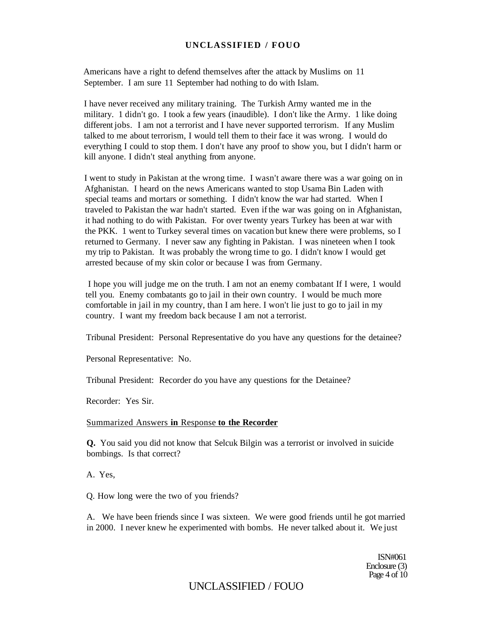Americans have a right to defend themselves after the attack by Muslims on 11 September. I am sure 11 September had nothing to do with Islam.

I have never received any military training. The Turkish Army wanted me in the military. 1 didn't go. I took a few years (inaudible). I don't like the Army. 1 like doing different jobs. I am not a terrorist and I have never supported terrorism. If any Muslim talked to me about terrorism, I would tell them to their face it was wrong. I would do everything I could to stop them. I don't have any proof to show you, but I didn't harm or kill anyone. I didn't steal anything from anyone.

I went to study in Pakistan at the wrong time. I wasn't aware there was a war going on in Afghanistan. I heard on the news Americans wanted to stop Usama Bin Laden with special teams and mortars or something. I didn't know the war had started. When I traveled to Pakistan the war hadn't started. Even if the war was going on in Afghanistan, it had nothing to do with Pakistan. For over twenty years Turkey has been at war with the PKK. 1 went to Turkey several times on vacation but knew there were problems, so I returned to Germany. I never saw any fighting in Pakistan. I was nineteen when I took my trip to Pakistan. It was probably the wrong time to go. I didn't know I would get arrested because of my skin color or because I was from Germany.

I hope you will judge me on the truth. I am not an enemy combatant If I were, 1 would tell you. Enemy combatants go to jail in their own country. I would be much more comfortable in jail in my country, than I am here. I won't lie just to go to jail in my country. I want my freedom back because I am not a terrorist.

Tribunal President: Personal Representative do you have any questions for the detainee?

Personal Representative: No.

Tribunal President: Recorder do you have any questions for the Detainee?

Recorder: Yes Sir.

#### Summarized Answers **in** Response **to the Recorder**

**Q.** You said you did not know that Selcuk Bilgin was a terrorist or involved in suicide bombings. Is that correct?

A. Yes,

Q. How long were the two of you friends?

A. We have been friends since I was sixteen. We were good friends until he got married in 2000. I never knew he experimented with bombs. He never talked about it. We just

> ISN#061 Enclosure (3) Page 4 of 10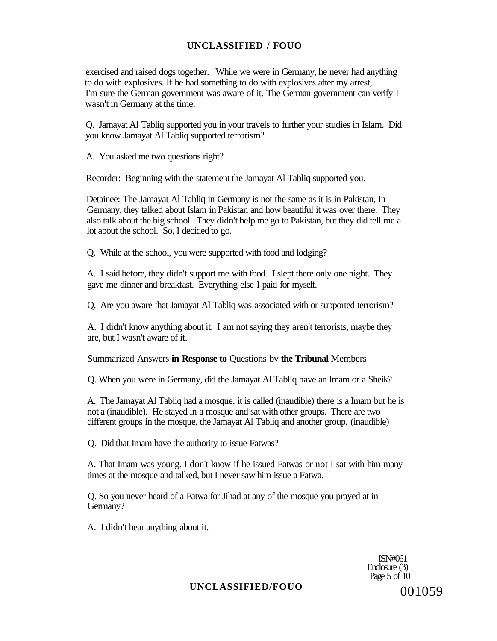exercised and raised dogs together. While we were in Germany, he never had anything to do with explosives. If he had something to do with explosives after my arrest, I'm sure the German government was aware of it. The German government can verify I wasn't in Germany at the time.

Q. Jamayat Al Tabliq supported you in your travels to further your studies in Islam. Did you know Jamayat Al Tabliq supported terrorism?

A. You asked me two questions right?

Recorder: Beginning with the statement the Jamayat Al Tabliq supported you.

Detainee: The Jamayat Al Tabliq in Germany is not the same as it is in Pakistan, In Germany, they talked about Islam in Pakistan and how beautiful it was over there. They also talk about the big school. They didn't help me go to Pakistan, but they did tell me a lot about the school. So, I decided to go.

Q. While at the school, you were supported with food and lodging?

A. I said before, they didn't support me with food. I slept there only one night. They gave me dinner and breakfast. Everything else I paid for myself.

Q. Are you aware that Jamayat Al Tabliq was associated with or supported terrorism?

A. I didn't know anything about it. I am not saying they aren't terrorists, maybe they are, but I wasn't aware of it.

#### Summarized Answers **in Response to** Questions bv **the Tribunal** Members

Q. When you were in Germany, did the Jamayat Al Tabliq have an Imam or a Sheik?

A. The Jamayat Al Tabliq had a mosque, it is called (inaudible) there is a Imam but he is not a (inaudible). He stayed in a mosque and sat with other groups. There are two different groups in the mosque, the Jamayat Al Tabliq and another group, (inaudible)

Q. Did that Imam have the authority to issue Fatwas?

A. That Imam was young. I don't know if he issued Fatwas or not I sat with him many times at the mosque and talked, but I never saw him issue a Fatwa.

Q. So you never heard of a Fatwa for Jihad at any of the mosque you prayed at in Germany?

A. I didn't hear anything about it.

ISN#061 Enclosure (3) Page 5 of 10

#### **UNCLASSIFIED/FOUO**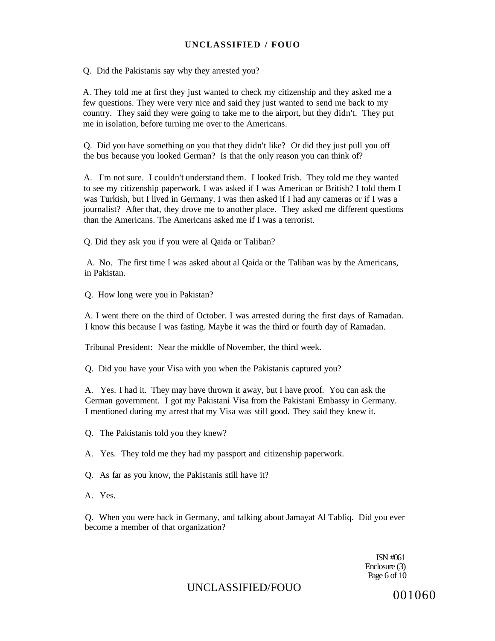Q. Did the Pakistanis say why they arrested you?

A. They told me at first they just wanted to check my citizenship and they asked me a few questions. They were very nice and said they just wanted to send me back to my country. They said they were going to take me to the airport, but they didn't. They put me in isolation, before turning me over to the Americans.

Q. Did you have something on you that they didn't like? Or did they just pull you off the bus because you looked German? Is that the only reason you can think of?

A. I'm not sure. I couldn't understand them. I looked Irish. They told me they wanted to see my citizenship paperwork. I was asked if I was American or British? I told them I was Turkish, but I lived in Germany. I was then asked if I had any cameras or if I was a journalist? After that, they drove me to another place. They asked me different questions than the Americans. The Americans asked me if I was a terrorist.

Q. Did they ask you if you were al Qaida or Taliban?

A. No. The first time I was asked about al Qaida or the Taliban was by the Americans, in Pakistan.

Q. How long were you in Pakistan?

A. I went there on the third of October. I was arrested during the first days of Ramadan. I know this because I was fasting. Maybe it was the third or fourth day of Ramadan.

Tribunal President: Near the middle of November, the third week.

Q. Did you have your Visa with you when the Pakistanis captured you?

A. Yes. I had it. They may have thrown it away, but I have proof. You can ask the German government. I got my Pakistani Visa from the Pakistani Embassy in Germany. I mentioned during my arrest that my Visa was still good. They said they knew it.

Q. The Pakistanis told you they knew?

A. Yes. They told me they had my passport and citizenship paperwork.

Q. As far as you know, the Pakistanis still have it?

A. Yes.

Q. When you were back in Germany, and talking about Jamayat Al Tabliq. Did you ever become a member of that organization?

> ISN #061 Enclosure (3) Page 6 of 10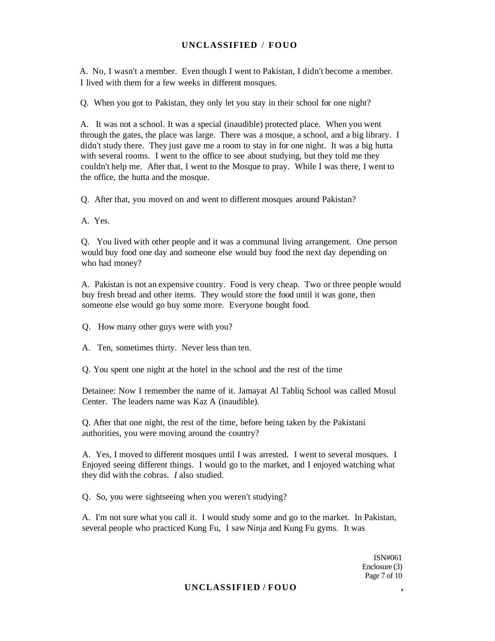A. No, I wasn't a member. Even though I went to Pakistan, I didn't become a member. I lived with them for a few weeks in different mosques.

Q. When you got to Pakistan, they only let you stay in their school for one night?

A. It was not a school. It was a special (inaudible) protected place. When you went through the gates, the place was large. There was a mosque, a school, and a big library. I didn't study there. They just gave me a room to stay in for one night. It was a big hutta with several rooms. I went to the office to see about studying, but they told me they couldn't help me. After that, I went to the Mosque to pray. While I was there, I went to the office, the hutta and the mosque.

Q. After that, you moved on and went to different mosques around Pakistan?

A. Yes.

Q. You lived with other people and it was a communal living arrangement. One person would buy food one day and someone else would buy food the next day depending on who had money?

A. Pakistan is not an expensive country. Food is very cheap. Two or three people would buy fresh bread and other items. They would store the food until it was gone, then someone else would go buy some more. Everyone bought food.

Q. How many other guys were with you?

A. Ten, sometimes thirty. Never less than ten.

Q. You spent one night at the hotel in the school and the rest of the time

Detainee: Now I remember the name of it. Jamayat Al Tabliq School was called Mosul Center. The leaders name was Kaz A (inaudible).

Q. After that one night, the rest of the time, before being taken by the Pakistani authorities, you were moving around the country?

A. Yes, I moved to different mosques until I was arrested. I went to several mosques. I Enjoyed seeing different things. I would go to the market, and I enjoyed watching what they did with the cobras. *I* also studied.

Q. So, you were sightseeing when you weren't studying?

A. I'm not sure what you call it. I would study some and go to the market. In Pakistan, several people who practiced Kung Fu, I saw Ninja and Kung Fu gyms. It was

> ISN#061 Enclosure (3) Page 7 of 10

#### **UNCLASSIFIED / FOUO ,**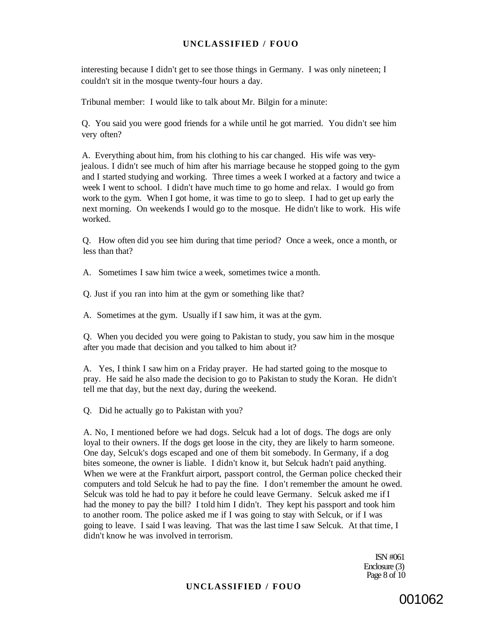interesting because I didn't get to see those things in Germany. I was only nineteen; I couldn't sit in the mosque twenty-four hours a day.

Tribunal member: I would like to talk about Mr. Bilgin for a minute:

Q. You said you were good friends for a while until he got married. You didn't see him very often?

A. Everything about him, from his clothing to his car changed. His wife was veryjealous. I didn't see much of him after his marriage because he stopped going to the gym and I started studying and working. Three times a week I worked at a factory and twice a week I went to school. I didn't have much time to go home and relax. I would go from work to the gym. When I got home, it was time to go to sleep. I had to get up early the next morning. On weekends I would go to the mosque. He didn't like to work. His wife worked.

Q. How often did you see him during that time period? Once a week, once a month, or less than that?

A. Sometimes I saw him twice a week, sometimes twice a month.

Q. Just if you ran into him at the gym or something like that?

A. Sometimes at the gym. Usually if I saw him, it was at the gym.

Q. When you decided you were going to Pakistan to study, you saw him in the mosque after you made that decision and you talked to him about it?

A. Yes, I think I saw him on a Friday prayer. He had started going to the mosque to pray. He said he also made the decision to go to Pakistan to study the Koran. He didn't tell me that day, but the next day, during the weekend.

Q. Did he actually go to Pakistan with you?

A. No, I mentioned before we had dogs. Selcuk had a lot of dogs. The dogs are only loyal to their owners. If the dogs get loose in the city, they are likely to harm someone. One day, Selcuk's dogs escaped and one of them bit somebody. In Germany, if a dog bites someone, the owner is liable. I didn't know it, but Selcuk hadn't paid anything. When we were at the Frankfurt airport, passport control, the German police checked their computers and told Selcuk he had to pay the fine. I don't remember the amount he owed. Selcuk was told he had to pay it before he could leave Germany. Selcuk asked me if I had the money to pay the bill? I told him I didn't. They kept his passport and took him to another room. The police asked me if I was going to stay with Selcuk, or if I was going to leave. I said I was leaving. That was the last time I saw Selcuk. At that time, I didn't know he was involved in terrorism.

> ISN #061 Enclosure (3) Page 8 of 10

#### **UNCLASSIFIED / FOUO**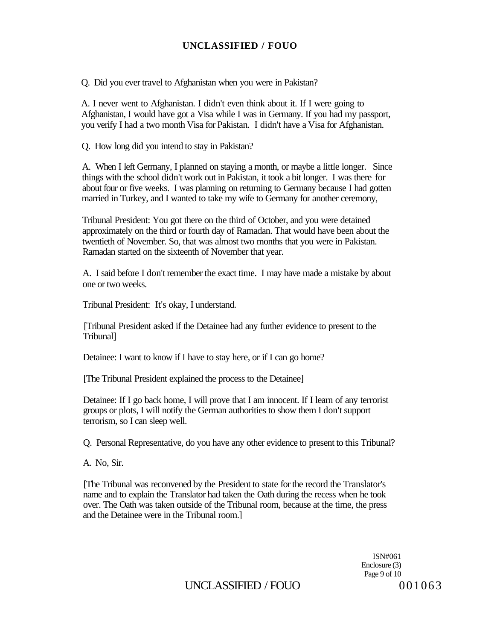Q. Did you ever travel to Afghanistan when you were in Pakistan?

A. I never went to Afghanistan. I didn't even think about it. If I were going to Afghanistan, I would have got a Visa while I was in Germany. If you had my passport, you verify I had a two month Visa for Pakistan. I didn't have a Visa for Afghanistan.

Q. How long did you intend to stay in Pakistan?

A. When I left Germany, I planned on staying a month, or maybe a little longer. Since things with the school didn't work out in Pakistan, it took a bit longer. I was there for about four or five weeks. I was planning on returning to Germany because I had gotten married in Turkey, and I wanted to take my wife to Germany for another ceremony,

Tribunal President: You got there on the third of October, and you were detained approximately on the third or fourth day of Ramadan. That would have been about the twentieth of November. So, that was almost two months that you were in Pakistan. Ramadan started on the sixteenth of November that year.

A. I said before I don't remember the exact time. I may have made a mistake by about one or two weeks.

Tribunal President: It's okay, I understand.

[Tribunal President asked if the Detainee had any further evidence to present to the Tribunal]

Detainee: I want to know if I have to stay here, or if I can go home?

[The Tribunal President explained the process to the Detainee]

Detainee: If I go back home, I will prove that I am innocent. If I learn of any terrorist groups or plots, I will notify the German authorities to show them I don't support terrorism, so I can sleep well.

Q. Personal Representative, do you have any other evidence to present to this Tribunal?

A. No, Sir.

[The Tribunal was reconvened by the President to state for the record the Translator's name and to explain the Translator had taken the Oath during the recess when he took over. The Oath was taken outside of the Tribunal room, because at the time, the press and the Detainee were in the Tribunal room.]

> ISN#061 Enclosure (3) Page 9 of 10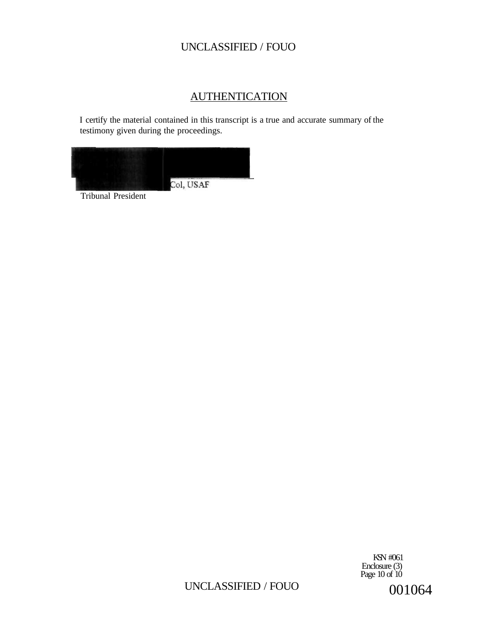# **AUTHENTICATION**

I certify the material contained in this transcript is a true and accurate summary of the testimony given during the proceedings.



Tribunal President

KSN #061 Enclosure (3) Page 10 of 10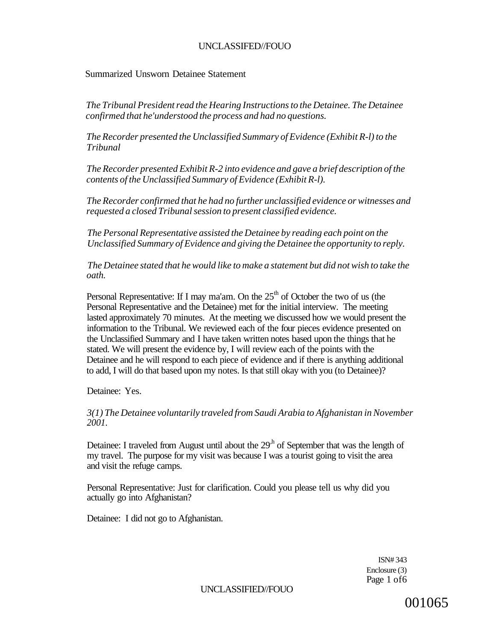Summarized Unsworn Detainee Statement

*The Tribunal President read the Hearing Instructions to the Detainee. The Detainee confirmed that he'understood the process and had no questions.* 

*The Recorder presented the Unclassified Summary of Evidence (Exhibit R-l) to the Tribunal* 

*The Recorder presented Exhibit R-2 into evidence and gave a brief description of the contents of the Unclassified Summary of Evidence (Exhibit R-l).* 

*The Recorder confirmed that he had no further unclassified evidence or witnesses and requested a closed Tribunal session to present classified evidence.* 

*The Personal Representative assisted the Detainee by reading each point on the Unclassified Summary of Evidence and giving the Detainee the opportunity to reply.* 

*The Detainee stated that he would like to make a statement but did not wish to take the oath.* 

Personal Representative: If I may ma'am. On the  $25<sup>th</sup>$  of October the two of us (the Personal Representative and the Detainee) met for the initial interview. The meeting lasted approximately 70 minutes. At the meeting we discussed how we would present the information to the Tribunal. We reviewed each of the four pieces evidence presented on the Unclassified Summary and I have taken written notes based upon the things that he stated. We will present the evidence by, I will review each of the points with the Detainee and he will respond to each piece of evidence and if there is anything additional to add, I will do that based upon my notes. Is that still okay with you (to Detainee)?

Detainee: Yes.

*3(1) The Detainee voluntarily traveled from Saudi Arabia to Afghanistan in November 2001.* 

Detainee: I traveled from August until about the 29<sup>th</sup> of September that was the length of my travel. The purpose for my visit was because I was a tourist going to visit the area and visit the refuge camps.

Personal Representative: Just for clarification. Could you please tell us why did you actually go into Afghanistan?

Detainee: I did not go to Afghanistan.

ISN# 343 Enclosure (3) Page 1 of6

UNCLASSIFIED//FOUO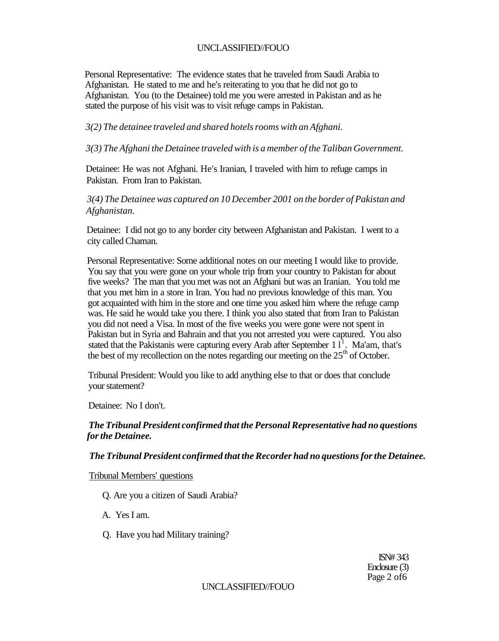Personal Representative: The evidence states that he traveled from Saudi Arabia to Afghanistan. He stated to me and he's reiterating to you that he did not go to Afghanistan. You (to the Detainee) told me you were arrested in Pakistan and as he stated the purpose of his visit was to visit refuge camps in Pakistan.

*3(2) The detainee traveled and shared hotels rooms with an Afghani.* 

*3(3) The Afghani the Detainee traveled with is a member of the Taliban Government.* 

Detainee: He was not Afghani. He's Iranian, I traveled with him to refuge camps in Pakistan. From Iran to Pakistan.

*3(4) The Detainee was captured on 10 December 2001 on the border of Pakistan and Afghanistan.* 

Detainee: I did not go to any border city between Afghanistan and Pakistan. I went to a city called Chaman.

Personal Representative: Some additional notes on our meeting I would like to provide. You say that you were gone on your whole trip from your country to Pakistan for about five weeks? The man that you met was not an Afghani but was an Iranian. You told me that you met him in a store in Iran. You had no previous knowledge of this man. You got acquainted with him in the store and one time you asked him where the refuge camp was. He said he would take you there. I think you also stated that from Iran to Pakistan you did not need a Visa. In most of the five weeks you were gone were not spent in Pakistan but in Syria and Bahrain and that you not arrested you were captured. You also stated that the Pakistanis were capturing every Arab after September 1  $l^1$ . Ma'am, that's the best of my recollection on the notes regarding our meeting on the  $25<sup>th</sup>$  of October.

Tribunal President: Would you like to add anything else to that or does that conclude your statement?

Detainee: No I don't.

#### *The Tribunal President confirmed that the Personal Representative had no questions for the Detainee.*

#### *The Tribunal President confirmed that the Recorder had no questions for the Detainee.*

Tribunal Members' questions

- Q. Are you a citizen of Saudi Arabia?
- A. Yes I am.
- Q. Have you had Military training?

ISN# 343 Enclosure (3) Page 2 of6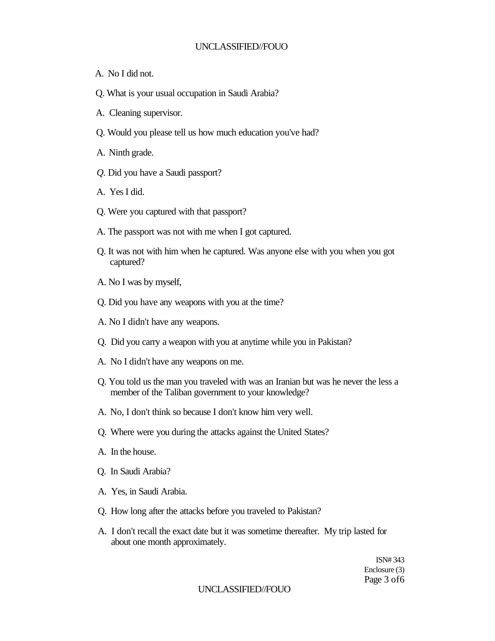- A. No I did not.
- Q. What is your usual occupation in Saudi Arabia?
- A. Cleaning supervisor.
- Q. Would you please tell us how much education you've had?
- A. Ninth grade.
- *Q.* Did you have a Saudi passport?
- A. Yes I did.
- Q. Were you captured with that passport?
- A. The passport was not with me when I got captured.
- Q. It was not with him when he captured. Was anyone else with you when you got captured?
- A. No I was by myself,
- Q. Did you have any weapons with you at the time?
- A. No I didn't have any weapons.
- Q. Did you carry a weapon with you at anytime while you in Pakistan?
- A. No I didn't have any weapons on me.
- Q. You told us the man you traveled with was an Iranian but was he never the less a member of the Taliban government to your knowledge?
- A. No, I don't think so because I don't know him very well.
- Q. Where were you during the attacks against the United States?
- A. In the house.
- Q. In Saudi Arabia?
- A. Yes, in Saudi Arabia.
- Q. How long after the attacks before you traveled to Pakistan?
- A. I don't recall the exact date but it was sometime thereafter. My trip lasted for about one month approximately.

ISN# 343 Enclosure (3) Page 3 of6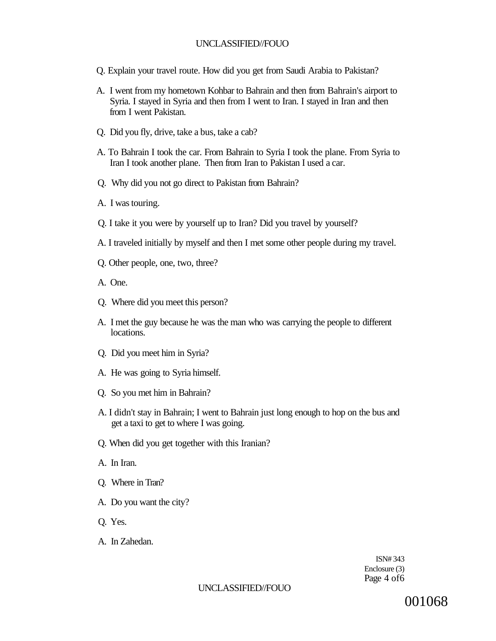- Q. Explain your travel route. How did you get from Saudi Arabia to Pakistan?
- A. I went from my hometown Kohbar to Bahrain and then from Bahrain's airport to Syria. I stayed in Syria and then from I went to Iran. I stayed in Iran and then from I went Pakistan.
- Q. Did you fly, drive, take a bus, take a cab?
- A. To Bahrain I took the car. From Bahrain to Syria I took the plane. From Syria to Iran I took another plane. Then from Iran to Pakistan I used a car.
- Q. Why did you not go direct to Pakistan from Bahrain?
- A. I was touring.
- Q. I take it you were by yourself up to Iran? Did you travel by yourself?
- A. I traveled initially by myself and then I met some other people during my travel.
- Q. Other people, one, two, three?
- A. One.
- Q. Where did you meet this person?
- A. I met the guy because he was the man who was carrying the people to different locations.
- Q. Did you meet him in Syria?
- A. He was going to Syria himself.
- Q. So you met him in Bahrain?
- A. I didn't stay in Bahrain; I went to Bahrain just long enough to hop on the bus and get a taxi to get to where I was going.
- Q. When did you get together with this Iranian?
- A. In Iran.
- Q. Where in Tran?
- A. Do you want the city?
- Q. Yes.
- A. In Zahedan.

ISN# 343 Enclosure (3) Page 4 of6

#### UNCLASSIFIED//FOUO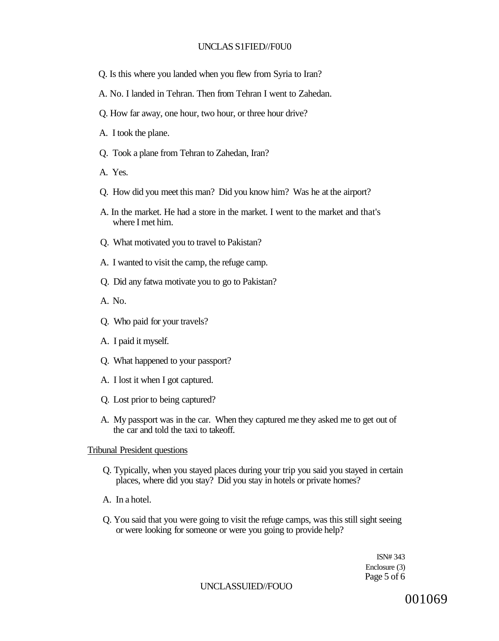#### UNCLAS S1FIED//F0U0

- Q. Is this where you landed when you flew from Syria to Iran?
- A. No. I landed in Tehran. Then from Tehran I went to Zahedan.
- Q. How far away, one hour, two hour, or three hour drive?
- A. I took the plane.
- Q. Took a plane from Tehran to Zahedan, Iran?
- A. Yes.
- Q. How did you meet this man? Did you know him? Was he at the airport?
- A. In the market. He had a store in the market. I went to the market and that's where I met him.
- Q. What motivated you to travel to Pakistan?
- A. I wanted to visit the camp, the refuge camp.
- Q. Did any fatwa motivate you to go to Pakistan?
- A. No.
- Q. Who paid for your travels?
- A. I paid it myself.
- Q. What happened to your passport?
- A. I lost it when I got captured.
- Q. Lost prior to being captured?
- A. My passport was in the car. When they captured me they asked me to get out of the car and told the taxi to takeoff.

#### Tribunal President questions

- Q. Typically, when you stayed places during your trip you said you stayed in certain places, where did you stay? Did you stay in hotels or private homes?
- A. In a hotel.
- Q. You said that you were going to visit the refuge camps, was this still sight seeing or were looking for someone or were you going to provide help?

ISN# 343 Enclosure (3) Page 5 of 6

UNCLASSUIED//FOUO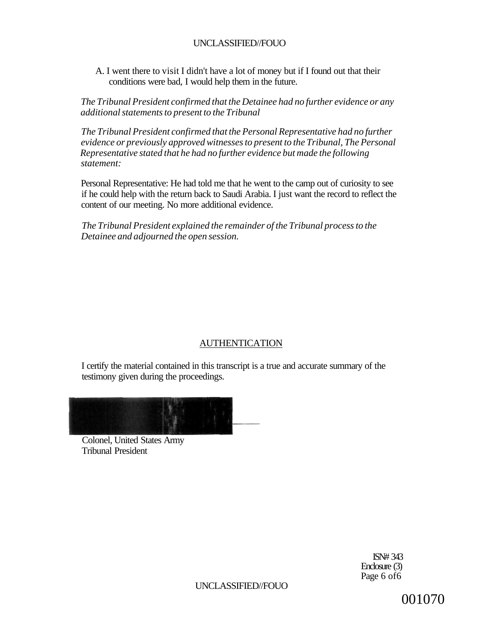A. I went there to visit I didn't have a lot of money but if I found out that their conditions were bad, I would help them in the future.

*The Tribunal President confirmed that the Detainee had no further evidence or any additional statements to present to the Tribunal* 

*The Tribunal President confirmed that the Personal Representative had no further evidence or previously approved witnesses to present to the Tribunal, The Personal Representative stated that he had no further evidence but made the following statement:* 

Personal Representative: He had told me that he went to the camp out of curiosity to see if he could help with the return back to Saudi Arabia. I just want the record to reflect the content of our meeting. No more additional evidence.

*The Tribunal President explained the remainder of the Tribunal process to the Detainee and adjourned the open session.* 

#### AUTHENTICATION

I certify the material contained in this transcript is a true and accurate summary of the testimony given during the proceedings.



Colonel, United States Army Tribunal President

> ISN# 343 Enclosure (3) Page 6 of 6

UNCLASSIFIED//FOUO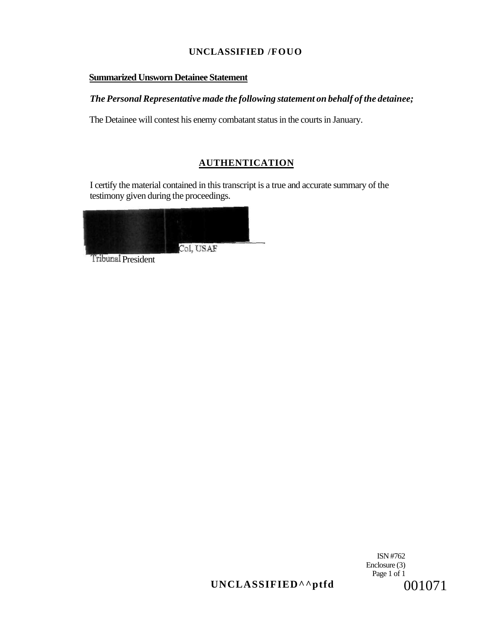#### **Summarized Unsworn Detainee Statement**

# *The Personal Representative made the following statement on behalf of the detainee;*

The Detainee will contest his enemy combatant status in the courts in January.

# **AUTHENTICATION**

I certify the material contained in this transcript is a true and accurate summary of the testimony given during the proceedings.

| Col, USAF |
|-----------|

**Tribunal President** 

ISN #762 Enclosure (3) Page 1 of 1 001071

**UNCLASSIFIED^^ptfd**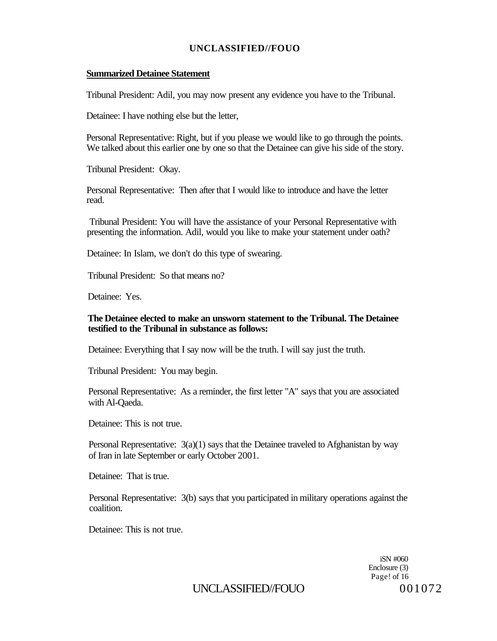#### **Summarized Detainee Statement**

Tribunal President: Adil, you may now present any evidence you have to the Tribunal.

Detainee: I have nothing else but the letter,

Personal Representative: Right, but if you please we would like to go through the points. We talked about this earlier one by one so that the Detainee can give his side of the story.

Tribunal President: Okay.

Personal Representative: Then after that I would like to introduce and have the letter read.

Tribunal President: You will have the assistance of your Personal Representative with presenting the information. Adil, would you like to make your statement under oath?

Detainee: In Islam, we don't do this type of swearing.

Tribunal President: So that means no?

Detainee: Yes.

#### **The Detainee elected to make an unsworn statement to the Tribunal. The Detainee testified to the Tribunal in substance as follows:**

Detainee: Everything that I say now will be the truth. I will say just the truth.

Tribunal President: You may begin.

Personal Representative: As a reminder, the first letter "A" says that you are associated with Al-Qaeda.

Detainee: This is not true.

Personal Representative:  $3(a)(1)$  says that the Detainee traveled to Afghanistan by way of Iran in late September or early October 2001.

Detainee: That is true.

Personal Representative: 3(b) says that you participated in military operations against the coalition.

Detainee: This is not true.

iSN #060 Enclosure (3) Page! of 16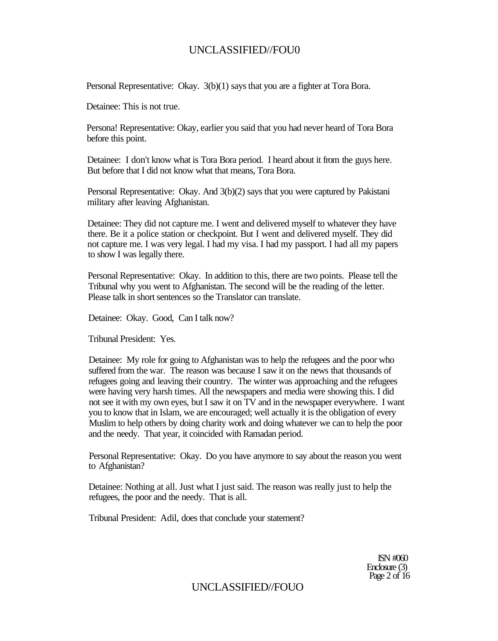Personal Representative: Okay. 3(b)(1) says that you are a fighter at Tora Bora.

Detainee: This is not true.

Persona! Representative: Okay, earlier you said that you had never heard of Tora Bora before this point.

Detainee: I don't know what is Tora Bora period. I heard about it from the guys here. But before that I did not know what that means, Tora Bora.

Personal Representative: Okay. And 3(b)(2) says that you were captured by Pakistani military after leaving Afghanistan.

Detainee: They did not capture me. I went and delivered myself to whatever they have there. Be it a police station or checkpoint. But I went and delivered myself. They did not capture me. I was very legal. I had my visa. I had my passport. I had all my papers to show I was legally there.

Personal Representative: Okay. In addition to this, there are two points. Please tell the Tribunal why you went to Afghanistan. The second will be the reading of the letter. Please talk in short sentences so the Translator can translate.

Detainee: Okay. Good, Can I talk now?

Tribunal President: Yes.

Detainee: My role for going to Afghanistan was to help the refugees and the poor who suffered from the war. The reason was because I saw it on the news that thousands of refugees going and leaving their country. The winter was approaching and the refugees were having very harsh times. All the newspapers and media were showing this. I did not see it with my own eyes, but I saw it on TV and in the newspaper everywhere. I want you to know that in Islam, we are encouraged; well actually it is the obligation of every Muslim to help others by doing charity work and doing whatever we can to help the poor and the needy. That year, it coincided with Ramadan period.

Personal Representative: Okay. Do you have anymore to say about the reason you went to Afghanistan?

Detainee: Nothing at all. Just what I just said. The reason was really just to help the refugees, the poor and the needy. That is all.

Tribunal President: Adil, does that conclude your statement?

ISN #060 Enclosure (3) Page 2 of 16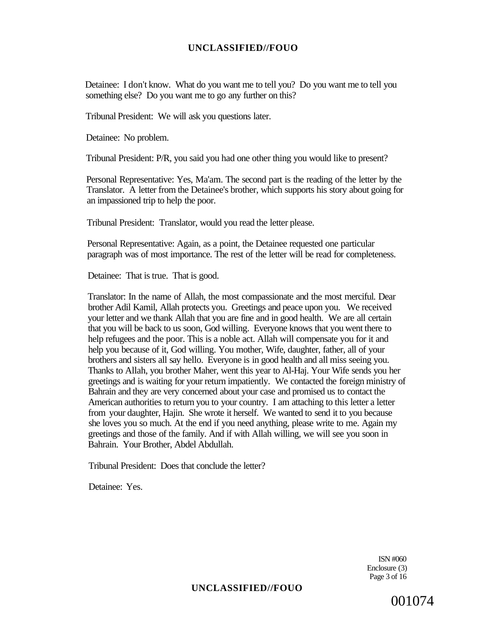Detainee: I don't know. What do you want me to tell you? Do you want me to tell you something else? Do you want me to go any further on this?

Tribunal President: We will ask you questions later.

Detainee: No problem.

Tribunal President: P/R, you said you had one other thing you would like to present?

Personal Representative: Yes, Ma'am. The second part is the reading of the letter by the Translator. A letter from the Detainee's brother, which supports his story about going for an impassioned trip to help the poor.

Tribunal President: Translator, would you read the letter please.

Personal Representative: Again, as a point, the Detainee requested one particular paragraph was of most importance. The rest of the letter will be read for completeness.

Detainee: That is true. That is good.

Translator: In the name of Allah, the most compassionate and the most merciful. Dear brother Adil Kamil, Allah protects you. Greetings and peace upon you. We received your letter and we thank Allah that you are fine and in good health. We are all certain that you will be back to us soon, God willing. Everyone knows that you went there to help refugees and the poor. This is a noble act. Allah will compensate you for it and help you because of it, God willing. You mother, Wife, daughter, father, all of your brothers and sisters all say hello. Everyone is in good health and all miss seeing you. Thanks to Allah, you brother Maher, went this year to Al-Haj. Your Wife sends you her greetings and is waiting for your return impatiently. We contacted the foreign ministry of Bahrain and they are very concerned about your case and promised us to contact the American authorities to return you to your country. I am attaching to this letter a letter from your daughter, Hajin. She wrote it herself. We wanted to send it to you because she loves you so much. At the end if you need anything, please write to me. Again my greetings and those of the family. And if with Allah willing, we will see you soon in Bahrain. Your Brother, Abdel Abdullah.

Tribunal President: Does that conclude the letter?

Detainee: Yes.

ISN #060 Enclosure (3) Page 3 of 16

#### **UNCLASSIFIED//FOUO**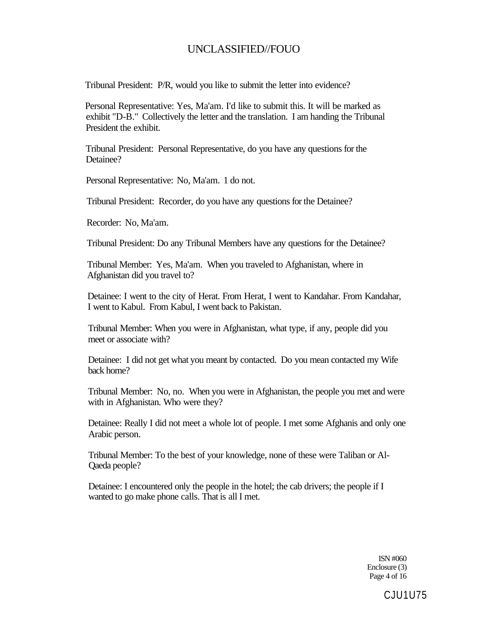Tribunal President: P/R, would you like to submit the letter into evidence?

Personal Representative: Yes, Ma'am. I'd like to submit this. It will be marked as exhibit "D-B." Collectively the letter and the translation. I am handing the Tribunal President the exhibit.

Tribunal President: Personal Representative, do you have any questions for the Detainee?

Personal Representative: No, Ma'am. 1 do not.

Tribunal President: Recorder, do you have any questions for the Detainee?

Recorder: No, Ma'am.

Tribunal President: Do any Tribunal Members have any questions for the Detainee?

Tribunal Member: Yes, Ma'am. When you traveled to Afghanistan, where in Afghanistan did you travel to?

Detainee: I went to the city of Herat. From Herat, I went to Kandahar. From Kandahar, I went to Kabul. From Kabul, I went back to Pakistan.

Tribunal Member: When you were in Afghanistan, what type, if any, people did you meet or associate with?

Detainee: I did not get what you meant by contacted. Do you mean contacted my Wife back home?

Tribunal Member: No, no. When you were in Afghanistan, the people you met and were with in Afghanistan. Who were they?

Detainee: Really I did not meet a whole lot of people. I met some Afghanis and only one Arabic person.

Tribunal Member: To the best of your knowledge, none of these were Taliban or Al-Qaeda people?

Detainee: I encountered only the people in the hotel; the cab drivers; the people if I wanted to go make phone calls. That is all I met.

> ISN #060 Enclosure (3) Page 4 of 16

> > CJU1U75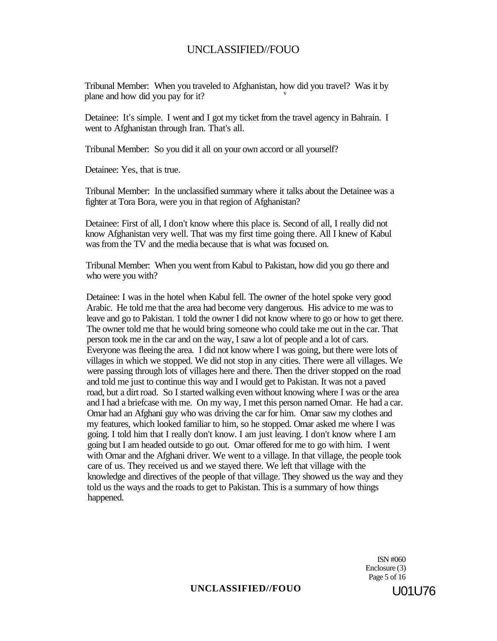Tribunal Member: When you traveled to Afghanistan, how did you travel? Was it by plane and how did you pay for it? v

Detainee: It's simple. I went and I got my ticket from the travel agency in Bahrain. I went to Afghanistan through Iran. That's all.

Tribunal Member: So you did it all on your own accord or all yourself?

Detainee: Yes, that is true.

Tribunal Member: In the unclassified summary where it talks about the Detainee was a fighter at Tora Bora, were you in that region of Afghanistan?

Detainee: First of all, I don't know where this place is. Second of all, I really did not know Afghanistan very well. That was my first time going there. All I knew of Kabul was from the TV and the media because that is what was focused on.

Tribunal Member: When you went from Kabul to Pakistan, how did you go there and who were you with?

Detainee: I was in the hotel when Kabul fell. The owner of the hotel spoke very good Arabic. He told me that the area had become very dangerous. His advice to me was to leave and go to Pakistan. 1 told the owner I did not know where to go or how to get there. The owner told me that he would bring someone who could take me out in the car. That person took me in the car and on the way, I saw a lot of people and a lot of cars. Everyone was fleeing the area. I did not know where I was going, but there were lots of villages in which we stopped. We did not stop in any cities. There were all villages. We were passing through lots of villages here and there. Then the driver stopped on the road and told me just to continue this way and I would get to Pakistan. It was not a paved road, but a dirt road. So I started walking even without knowing where I was or the area and I had a briefcase with me. On my way, I met this person named Omar. He had a car. Omar had an Afghani guy who was driving the car for him. Omar saw my clothes and my features, which looked familiar to him, so he stopped. Omar asked me where I was going. I told him that I really don't know. I am just leaving. I don't know where I am going but I am headed outside to go out. Omar offered for me to go with him. I went with Omar and the Afghani driver. We went to a village. In that village, the people took care of us. They received us and we stayed there. We left that village with the knowledge and directives of the people of that village. They showed us the way and they told us the ways and the roads to get to Pakistan. This is a summary of how things happened.

> ISN #060 Enclosure (3) Page 5 of 16

# **UNCLASSIFIED//FOUO** U01U76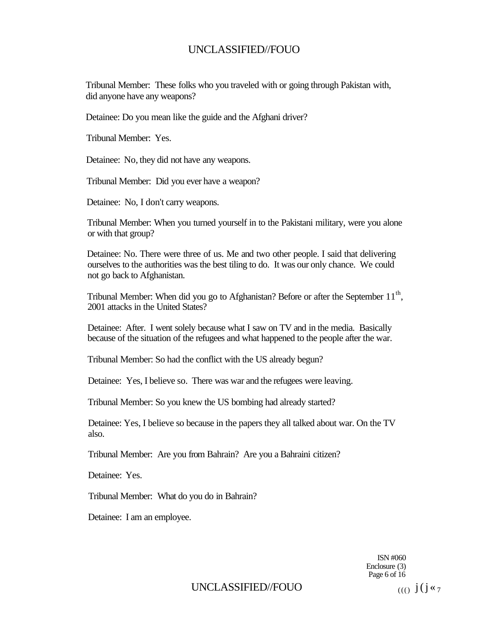Tribunal Member: These folks who you traveled with or going through Pakistan with, did anyone have any weapons?

Detainee: Do you mean like the guide and the Afghani driver?

Tribunal Member: Yes.

Detainee: No, they did not have any weapons.

Tribunal Member: Did you ever have a weapon?

Detainee: No, I don't carry weapons.

Tribunal Member: When you turned yourself in to the Pakistani military, were you alone or with that group?

Detainee: No. There were three of us. Me and two other people. I said that delivering ourselves to the authorities was the best tiling to do. It was our only chance. We could not go back to Afghanistan.

Tribunal Member: When did you go to Afghanistan? Before or after the September  $11<sup>th</sup>$ , 2001 attacks in the United States?

Detainee: After. I went solely because what I saw on TV and in the media. Basically because of the situation of the refugees and what happened to the people after the war.

Tribunal Member: So had the conflict with the US already begun?

Detainee: Yes, I believe so. There was war and the refugees were leaving.

Tribunal Member: So you knew the US bombing had already started?

Detainee: Yes, I believe so because in the papers they all talked about war. On the TV also.

Tribunal Member: Are you from Bahrain? Are you a Bahraini citizen?

Detainee: Yes.

Tribunal Member: What do you do in Bahrain?

Detainee: I am an employee.

ISN #060 Enclosure (3) Page 6 of 16

UNCLASSIFIED//FOUO

 $\omega$  i(i« $\tau$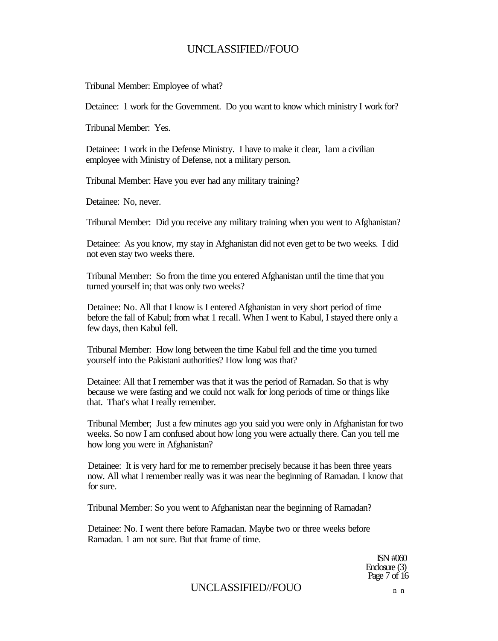Tribunal Member: Employee of what?

Detainee: 1 work for the Government. Do you want to know which ministry I work for?

Tribunal Member: Yes.

Detainee: I work in the Defense Ministry. I have to make it clear, lam a civilian employee with Ministry of Defense, not a military person.

Tribunal Member: Have you ever had any military training?

Detainee: No, never.

Tribunal Member: Did you receive any military training when you went to Afghanistan?

Detainee: As you know, my stay in Afghanistan did not even get to be two weeks. I did not even stay two weeks there.

Tribunal Member: So from the time you entered Afghanistan until the time that you turned yourself in; that was only two weeks?

Detainee: No. All that I know is I entered Afghanistan in very short period of time before the fall of Kabul; from what 1 recall. When I went to Kabul, I stayed there only a few days, then Kabul fell.

Tribunal Member: How long between the time Kabul fell and the time you turned yourself into the Pakistani authorities? How long was that?

Detainee: All that I remember was that it was the period of Ramadan. So that is why because we were fasting and we could not walk for long periods of time or things like that. That's what I really remember.

Tribunal Member; Just a few minutes ago you said you were only in Afghanistan for two weeks. So now I am confused about how long you were actually there. Can you tell me how long you were in Afghanistan?

Detainee: It is very hard for me to remember precisely because it has been three years now. All what I remember really was it was near the beginning of Ramadan. I know that for sure.

Tribunal Member: So you went to Afghanistan near the beginning of Ramadan?

Detainee: No. I went there before Ramadan. Maybe two or three weeks before Ramadan. 1 am not sure. But that frame of time.

> ISN #060 Enclosure (3) Page 7 of 16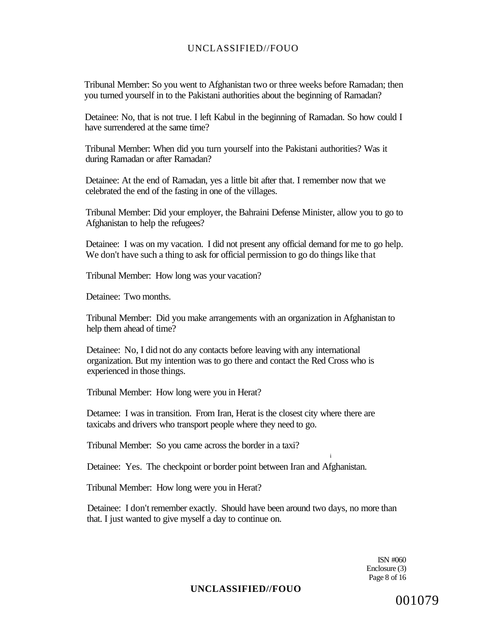Tribunal Member: So you went to Afghanistan two or three weeks before Ramadan; then you turned yourself in to the Pakistani authorities about the beginning of Ramadan?

Detainee: No, that is not true. I left Kabul in the beginning of Ramadan. So how could I have surrendered at the same time?

Tribunal Member: When did you turn yourself into the Pakistani authorities? Was it during Ramadan or after Ramadan?

Detainee: At the end of Ramadan, yes a little bit after that. I remember now that we celebrated the end of the fasting in one of the villages.

Tribunal Member: Did your employer, the Bahraini Defense Minister, allow you to go to Afghanistan to help the refugees?

Detainee: I was on my vacation. I did not present any official demand for me to go help. We don't have such a thing to ask for official permission to go do things like that

Tribunal Member: How long was your vacation?

Detainee: Two months.

Tribunal Member: Did you make arrangements with an organization in Afghanistan to help them ahead of time?

Detainee: No, I did not do any contacts before leaving with any international organization. But my intention was to go there and contact the Red Cross who is experienced in those things.

Tribunal Member: How long were you in Herat?

Detamee: I was in transition. From Iran, Herat is the closest city where there are taxicabs and drivers who transport people where they need to go.

Tribunal Member: So you came across the border in a taxi?

Detainee: Yes. The checkpoint or border point between Iran and Afghanistan.

Tribunal Member: How long were you in Herat?

Detainee: I don't remember exactly. Should have been around two days, no more than that. I just wanted to give myself a day to continue on.

> ISN #060 Enclosure (3) Page 8 of 16

i

#### **UNCLASSIFIED//FOUO**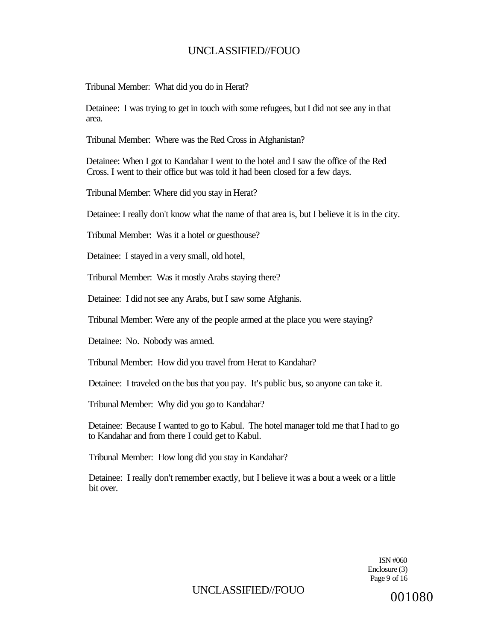Tribunal Member: What did you do in Herat?

Detainee: I was trying to get in touch with some refugees, but I did not see any in that area.

Tribunal Member: Where was the Red Cross in Afghanistan?

Detainee: When I got to Kandahar I went to the hotel and I saw the office of the Red Cross. I went to their office but was told it had been closed for a few days.

Tribunal Member: Where did you stay in Herat?

Detainee: I really don't know what the name of that area is, but I believe it is in the city.

Tribunal Member: Was it a hotel or guesthouse?

Detainee: I stayed in a very small, old hotel,

Tribunal Member: Was it mostly Arabs staying there?

Detainee: I did not see any Arabs, but I saw some Afghanis.

Tribunal Member: Were any of the people armed at the place you were staying?

Detainee: No. Nobody was armed.

Tribunal Member: How did you travel from Herat to Kandahar?

Detainee: I traveled on the bus that you pay. It's public bus, so anyone can take it.

Tribunal Member: Why did you go to Kandahar?

Detainee: Because I wanted to go to Kabul. The hotel manager told me that I had to go to Kandahar and from there I could get to Kabul.

Tribunal Member: How long did you stay in Kandahar?

Detainee: I really don't remember exactly, but I believe it was a bout a week or a little bit over.

> ISN #060 Enclosure (3) Page 9 of 16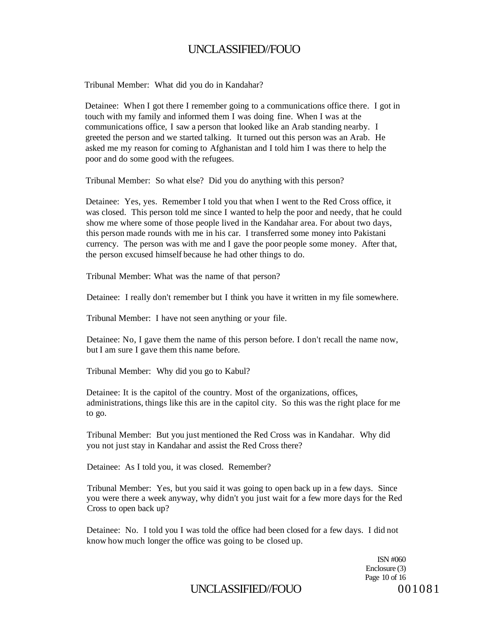Tribunal Member: What did you do in Kandahar?

Detainee: When I got there I remember going to a communications office there. I got in touch with my family and informed them I was doing fine. When I was at the communications office, I saw a person that looked like an Arab standing nearby. I greeted the person and we started talking. It turned out this person was an Arab. He asked me my reason for coming to Afghanistan and I told him I was there to help the poor and do some good with the refugees.

Tribunal Member: So what else? Did you do anything with this person?

Detainee: Yes, yes. Remember I told you that when I went to the Red Cross office, it was closed. This person told me since I wanted to help the poor and needy, that he could show me where some of those people lived in the Kandahar area. For about two days, this person made rounds with me in his car. I transferred some money into Pakistani currency. The person was with me and I gave the poor people some money. After that, the person excused himself because he had other things to do.

Tribunal Member: What was the name of that person?

Detainee: I really don't remember but I think you have it written in my file somewhere.

Tribunal Member: I have not seen anything or your file.

Detainee: No, I gave them the name of this person before. I don't recall the name now, but I am sure I gave them this name before.

Tribunal Member: Why did you go to Kabul?

Detainee: It is the capitol of the country. Most of the organizations, offices, administrations, things like this are in the capitol city. So this was the right place for me to go.

Tribunal Member: But you just mentioned the Red Cross was in Kandahar. Why did you not just stay in Kandahar and assist the Red Cross there?

Detainee: As I told you, it was closed. Remember?

Tribunal Member: Yes, but you said it was going to open back up in a few days. Since you were there a week anyway, why didn't you just wait for a few more days for the Red Cross to open back up?

Detainee: No. I told you I was told the office had been closed for a few days. I did not know how much longer the office was going to be closed up.

> ISN #060 Enclosure (3) Page 10 of 16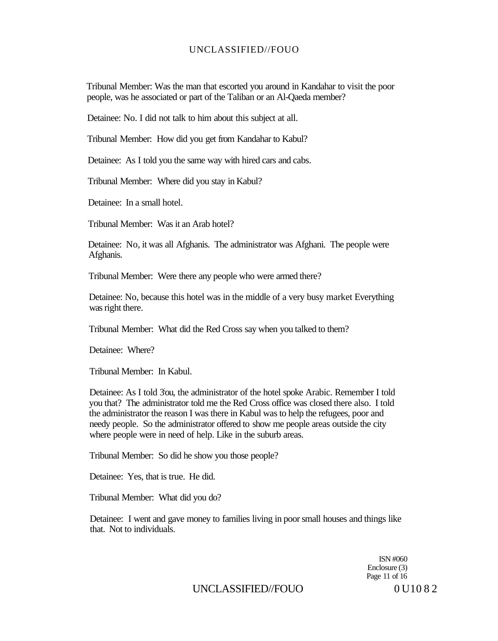Tribunal Member: Was the man that escorted you around in Kandahar to visit the poor people, was he associated or part of the Taliban or an Al-Qaeda member?

Detainee: No. I did not talk to him about this subject at all.

Tribunal Member: How did you get from Kandahar to Kabul?

Detainee: As I told you the same way with hired cars and cabs.

Tribunal Member: Where did you stay in Kabul?

Detainee: In a small hotel.

Tribunal Member: Was it an Arab hotel?

Detainee: No, it was all Afghanis. The administrator was Afghani. The people were Afghanis.

Tribunal Member: Were there any people who were armed there?

Detainee: No, because this hotel was in the middle of a very busy market Everything was right there.

Tribunal Member: What did the Red Cross say when you talked to them?

Detainee: Where?

Tribunal Member: In Kabul.

Detainee: As I told 3'ou, the administrator of the hotel spoke Arabic. Remember I told you that? The administrator told me the Red Cross office was closed there also. I told the administrator the reason I was there in Kabul was to help the refugees, poor and needy people. So the administrator offered to show me people areas outside the city where people were in need of help. Like in the suburb areas.

Tribunal Member: So did he show you those people?

Detainee: Yes, that is true. He did.

Tribunal Member: What did you do?

Detainee: I went and gave money to families living in poor small houses and things like that. Not to individuals.

> ISN #060 Enclosure (3) Page 11 of 16

UNCLASSIFIED//FOUO 0 U10 8 2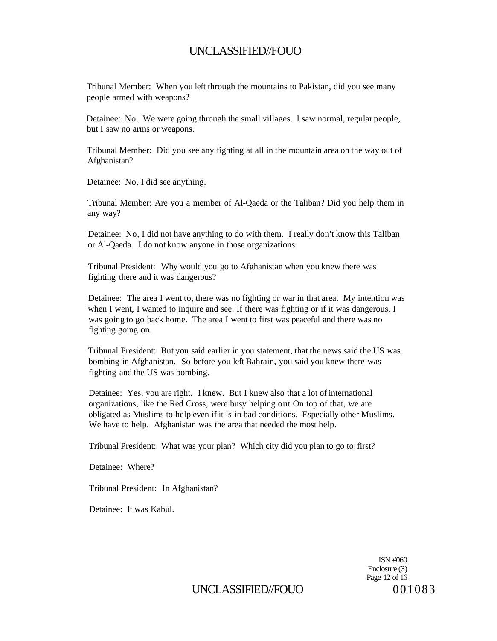Tribunal Member: When you left through the mountains to Pakistan, did you see many people armed with weapons?

Detainee: No. We were going through the small villages. I saw normal, regular people, but I saw no arms or weapons.

Tribunal Member: Did you see any fighting at all in the mountain area on the way out of Afghanistan?

Detainee: No, I did see anything.

Tribunal Member: Are you a member of Al-Qaeda or the Taliban? Did you help them in any way?

Detainee: No, I did not have anything to do with them. I really don't know this Taliban or Al-Qaeda. I do not know anyone in those organizations.

Tribunal President: Why would you go to Afghanistan when you knew there was fighting there and it was dangerous?

Detainee: The area I went to, there was no fighting or war in that area. My intention was when I went, I wanted to inquire and see. If there was fighting or if it was dangerous, I was going to go back home. The area I went to first was peaceful and there was no fighting going on.

Tribunal President: But you said earlier in you statement, that the news said the US was bombing in Afghanistan. So before you left Bahrain, you said you knew there was fighting and the US was bombing.

Detainee: Yes, you are right. I knew. But I knew also that a lot of international organizations, like the Red Cross, were busy helping out On top of that, we are obligated as Muslims to help even if it is in bad conditions. Especially other Muslims. We have to help. Afghanistan was the area that needed the most help.

Tribunal President: What was your plan? Which city did you plan to go to first?

Detainee: Where?

Tribunal President: In Afghanistan?

Detainee: It was Kabul.

ISN #060 Enclosure (3) Page 12 of 16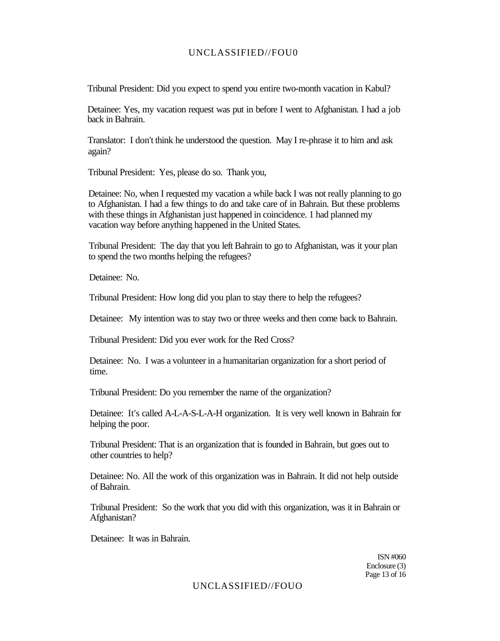Tribunal President: Did you expect to spend you entire two-month vacation in Kabul?

Detainee: Yes, my vacation request was put in before I went to Afghanistan. I had a job back in Bahrain.

Translator: I don't think he understood the question. May I re-phrase it to him and ask again?

Tribunal President: Yes, please do so. Thank you,

Detainee: No, when I requested my vacation a while back I was not really planning to go to Afghanistan. I had a few things to do and take care of in Bahrain. But these problems with these things in Afghanistan just happened in coincidence. 1 had planned my vacation way before anything happened in the United States.

Tribunal President: The day that you left Bahrain to go to Afghanistan, was it your plan to spend the two months helping the refugees?

Detainee: No.

Tribunal President: How long did you plan to stay there to help the refugees?

Detainee: My intention was to stay two or three weeks and then come back to Bahrain.

Tribunal President: Did you ever work for the Red Cross?

Detainee: No. I was a volunteer in a humanitarian organization for a short period of time.

Tribunal President: Do you remember the name of the organization?

Detainee: It's called A-L-A-S-L-A-H organization. It is very well known in Bahrain for helping the poor.

Tribunal President: That is an organization that is founded in Bahrain, but goes out to other countries to help?

Detainee: No. All the work of this organization was in Bahrain. It did not help outside of Bahrain.

Tribunal President: So the work that you did with this organization, was it in Bahrain or Afghanistan?

Detainee: It was in Bahrain.

ISN #060 Enclosure (3) Page 13 of 16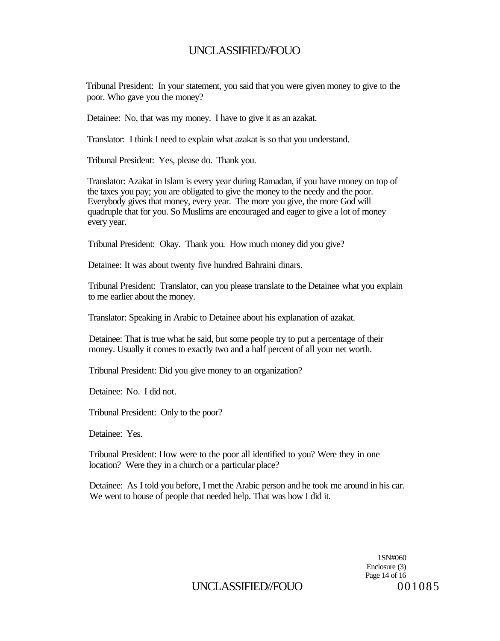Tribunal President: In your statement, you said that you were given money to give to the poor. Who gave you the money?

Detainee: No, that was my money. I have to give it as an azakat.

Translator: I think I need to explain what azakat is so that you understand.

Tribunal President: Yes, please do. Thank you.

Translator: Azakat in Islam is every year during Ramadan, if you have money on top of the taxes you pay; you are obligated to give the money to the needy and the poor. Everybody gives that money, every year. The more you give, the more God will quadruple that for you. So Muslims are encouraged and eager to give a lot of money every year.

Tribunal President: Okay. Thank you. How much money did you give?

Detainee: It was about twenty five hundred Bahraini dinars.

Tribunal President: Translator, can you please translate to the Detainee what you explain to me earlier about the money.

Translator: Speaking in Arabic to Detainee about his explanation of azakat.

Detainee: That is true what he said, but some people try to put a percentage of their money. Usually it comes to exactly two and a half percent of all your net worth.

Tribunal President: Did you give money to an organization?

Detainee: No. I did not.

Tribunal President: Only to the poor?

Detainee: Yes.

Tribunal President: How were to the poor all identified to you? Were they in one location? Were they in a church or a particular place?

Detainee: As I told you before, I met the Arabic person and he took me around in his car. We went to house of people that needed help. That was how I did it.

> 1SN#060 Enclosure (3) Page 14 of 16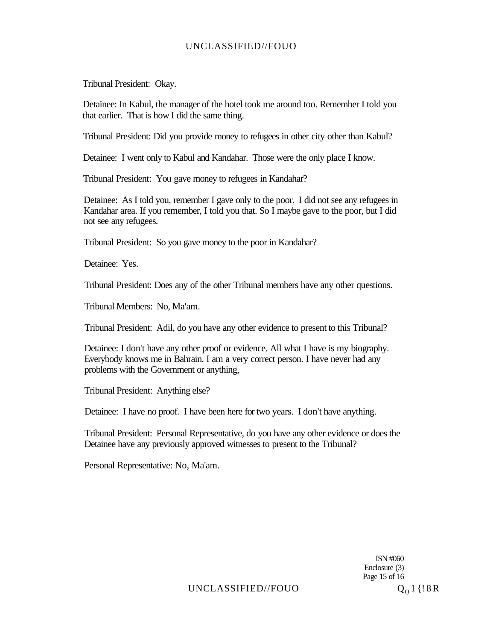Tribunal President: Okay.

Detainee: In Kabul, the manager of the hotel took me around too. Remember I told you that earlier. That is how I did the same thing.

Tribunal President: Did you provide money to refugees in other city other than Kabul?

Detainee: I went only to Kabul and Kandahar. Those were the only place I know.

Tribunal President: You gave money to refugees in Kandahar?

Detainee: As I told you, remember I gave only to the poor. I did not see any refugees in Kandahar area. If you remember, I told you that. So I maybe gave to the poor, but I did not see any refugees.

Tribunal President: So you gave money to the poor in Kandahar?

Detainee: Yes.

Tribunal President: Does any of the other Tribunal members have any other questions.

Tribunal Members: No, Ma'am.

Tribunal President: Adil, do you have any other evidence to present to this Tribunal?

Detainee: I don't have any other proof or evidence. All what I have is my biography. Everybody knows me in Bahrain. I am a very correct person. I have never had any problems with the Government or anything,

Tribunal President: Anything else?

Detainee: I have no proof. I have been here for two years. I don't have anything.

Tribunal President: Personal Representative, do you have any other evidence or does the Detainee have any previously approved witnesses to present to the Tribunal?

Personal Representative: No, Ma'am.

ISN #060 Enclosure (3) Page 15 of 16  $Q_0 1$  {! 8 R

UNCLASSIFIED//FOUO Q()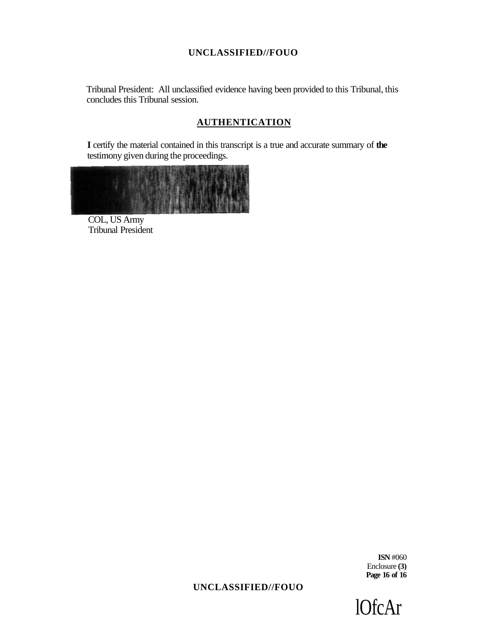Tribunal President: All unclassified evidence having been provided to this Tribunal, this concludes this Tribunal session.

# **AUTHENTICATION**

**I** certify the material contained in this transcript is a true and accurate summary of **the**  testimony given during the proceedings.



COL, US Army Tribunal President

> **ISN** #060 Enclosure **(3) Page 16 of 16**

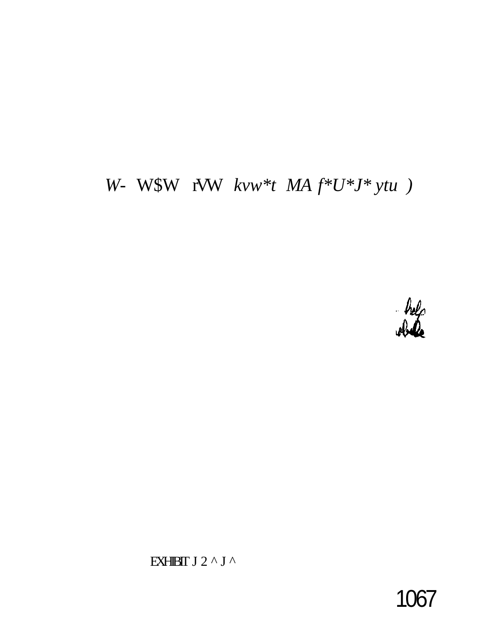# *W-* W\$W rVW *kvw\*t MA f\*U\*J\* ytu )*



EXHBIT J 2 ^ J ^

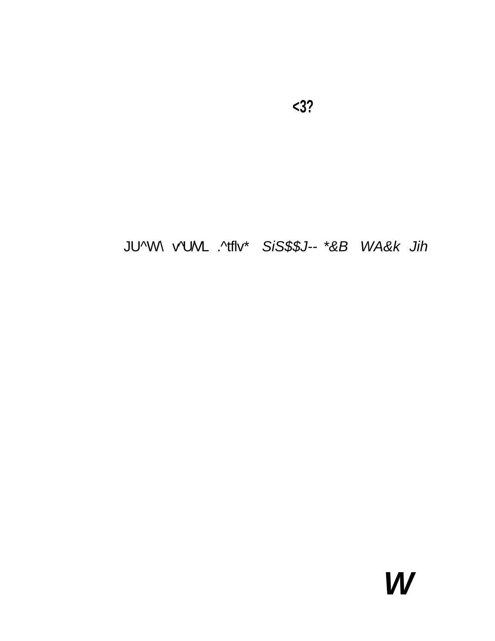JU^W\ v^U/VL .^tflv\* SiS\$\$J-- \*&B WA&k Jih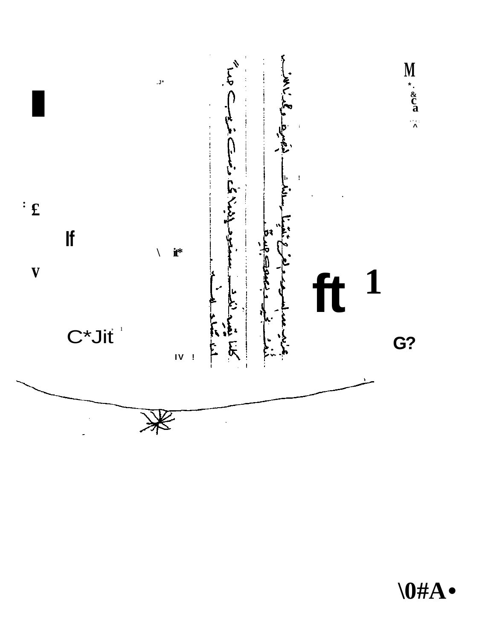

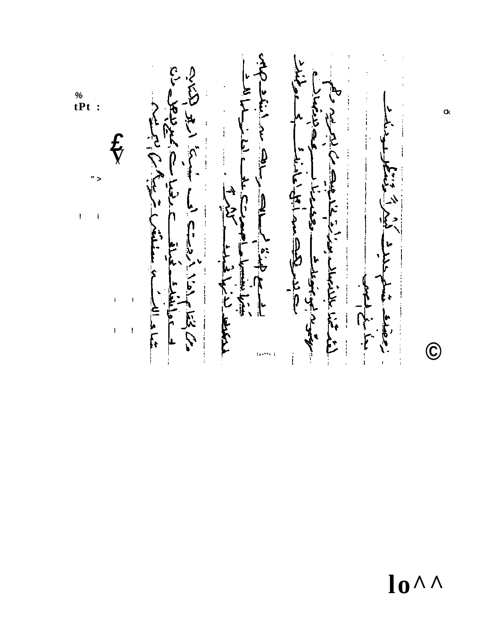<u>န</u> رفيات المعربة いかか ディー بالمصر سابق بين النكف بع<br>ح  $\frac{\%}{tPt}$ : Change Change بوس ا<br>مساحة الم ے ان ر  $\mathbf{\hat{g}}$  $\mathcal{E}$ Suit de la Seine **ALICI** " > - Lease رف في ريمه h  $\pmb{\mathsf{I}}$  $\mathbf{i}$ クローミント  $\sim$ FTE Letter L THAT CHAT CHAT المنكب يتملد بالملفهات بو المستعليه المحاسبة بالمستعملة  $-4\pi r$  $-20$ يتدا و اللب  $\hat{\mathbf{I}}$  $\mathbf{I}$  $\begin{array}{c} \mathbf{i} \\ \mathbf{j} \\ \mathbf{k} \end{array}$ in Content  $\mathbf{I}$  $\overline{1}$  $\mathbb{C}% _{n}^{X}\times\mathbb{C}_{n}^{X}\times\mathbb{C}_{n}^{X}$  $\frac{1}{1}$  $\frac{1}{3}$  $! \times \bullet \star \star \bullet \quad i$ 

 $10^{\Lambda}$ 

 $\alpha$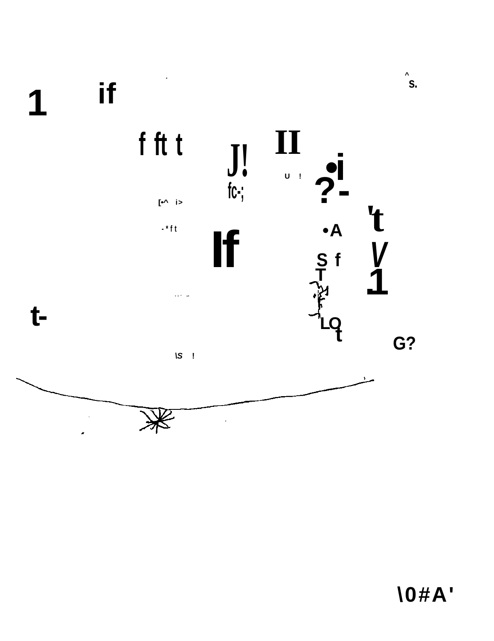if

1

 $t-$ 



 $^{\prime}$  S.

**\0#A'**